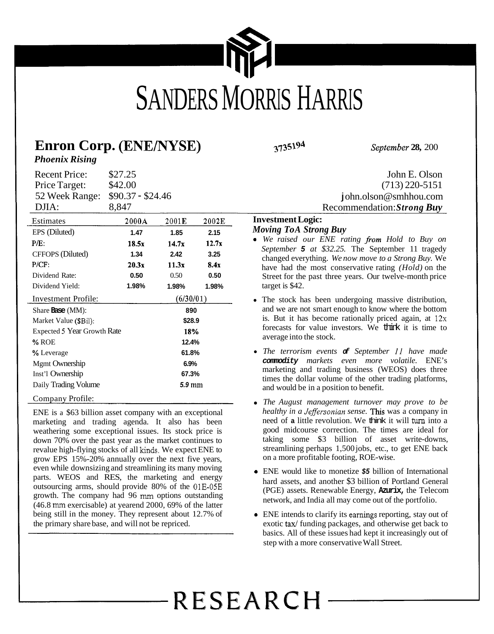<span id="page-0-0"></span>

## **Enron Corp. (ENENYSE) 3735194** *September* **28,** <sup>200</sup>

Recommendation: *Strong Buy* 

#### **Investment Logic:**  *Moving ToA Strong Buy*

- We raised our ENE rating from Hold to Buy on *September 5 at \$32.25.* The September 11 tragedy changed everything. *We now move to a Strong Buy.* We have had the most conservative rating *(Hold)* on the Street for the past three years. Our twelve-month price target is \$42.
- The stock has been undergoing massive distribution, and we are not smart enough to know where the bottom is. But it has become rationally priced again, at  $12x$ forecasts for value investors. We think it is time to average into the stock.
- *The terrorism events of September 11 have made commodity markets even more volatile.* ENE's marketing and trading business (WEOS) does three times the dollar volume of the other trading platforms, and would be in a position to benefit.
- *The August management turnover may prove to be healthy in a Jefersonian sense.* This was a company in need of **a** little revolution. We think it will tum into a good midcourse correction. The times are ideal for taking some \$3 billion of asset write-downs, streamlining perhaps 1,500 jobs, etc., to get ENE back on a more profitable footing, ROE-wise.
- *<sup>0</sup>*ENE would like to monetize *\$5* billion of International hard assets, and another \$3 billion of Portland General (PGE) assets. Renewable Energy, **Azurix,** the Telecom network, and India all may come out of the portfolio.
- *0* ENE intends to clarify its earnings reporting, stay out of exotic tax/ funding packages, and otherwise get back to basics. All of these issues had kept it increasingly out of step with a more conservative Wall Street.

# RESEARCH

*Phoenix Rising* 

Recent Price: \$27.25 John E. Olson 52 Week Range: \$90.37 - \$24.46 j[ohn.olson@smhhou.com](mailto:ohn.olson@smhhou.com)<br>DILA: 8 847 Recommendation: Strang Ruy Price Target: \$42.00 (713) 220-5151

| LJJ11.                      | 0,0 L Z |           |       |  |  |
|-----------------------------|---------|-----------|-------|--|--|
| Estimates                   | 2000A   | 2001E     | 2002E |  |  |
| EPS (Diluted)               | 1.47    | 1.85      | 2.15  |  |  |
| $P/E$ :                     | 18.5x   | 14.7x     | 12.7x |  |  |
| CFFOPS (Diluted)            | 1.34    | 2.42      | 3.25  |  |  |
| P/CF:                       | 20.3x   | 11.3x     | 8.4x  |  |  |
| Dividend Rate:              | 0.50    | 0.50      | 0.50  |  |  |
| Dividend Yield:             | 1.98%   | 1.98%     | 1.98% |  |  |
| Investment Profile:         |         | (6/30/01) |       |  |  |
| Share <b>Base</b> (MM):     |         | 890       |       |  |  |
| Market Value (\$Bil):       |         | \$28.9    |       |  |  |
| Expected 5 Year Growth Rate |         | 18%       |       |  |  |
| % ROE                       |         | 12.4%     |       |  |  |
| % Leverage                  |         | 61.8%     |       |  |  |
| Mgmt Ownership              |         | 6.9%      |       |  |  |
| Inst'l Ownership            |         | 67.3%     |       |  |  |
| Daily Trading Volume        | 5.9 mm  |           |       |  |  |
| Company Profile:            |         |           |       |  |  |

ENE is a \$63 billion asset company with an exceptional marketing and trading agenda. It also has been weathering some exceptional issues. Its stock price is down 70% over the past year as the market continues to revalue high-flying stocks of all kinds. We expect ENE to grow EPS 15%-20% annually over the next five years, even while downsizing and streamlining its many moving parts. WEOS and RES, the marketing and energy outsourcing arms, should provide 80% of the 01E-05E growth. The company had 96 mm options outstanding (46.8 mm exercisable) at yearend 2000, 69% of the latter being still in the money. They represent about 12.7% of the primary share base, and will not be repriced.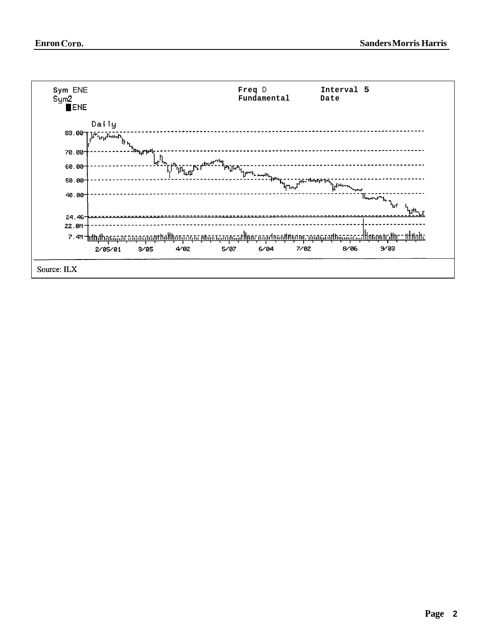<span id="page-1-0"></span>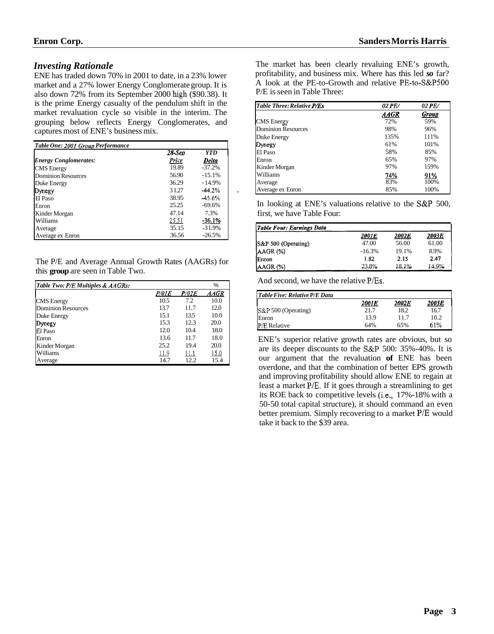#### <span id="page-2-0"></span>*Investing Rationale*

ENE has traded down 70% in 2001 to date, in a 23% lower market and a 27% lower Energy Conglomerate group. It is also down 72% from its September 2000 high (\$90.38). It is the prime Energy casualty of the pendulum shift in the market revaluation cycle so visible in the interim. The grouping below reflects Energy Conglomerates, and captures most of ENE's business mix.

| Table One: 2001 Group Performance |        |            |  |  |  |
|-----------------------------------|--------|------------|--|--|--|
|                                   | 28-Sep | <b>YTD</b> |  |  |  |
| <b>Energy Conglomerates:</b>      | Price  | Delta      |  |  |  |
| <b>CMS</b> Energy                 | 19.89  | $-37.2%$   |  |  |  |
| Dominion Resources                | 56.90  | $-15.1%$   |  |  |  |
| Duke Energy                       | 36.29  | $-14.9%$   |  |  |  |
| Dynegy                            | 31.27  | $-44.2%$   |  |  |  |
| El Paso                           | 38.95  | $-45.6%$   |  |  |  |
| Enron                             | 25.25  | $-69.6%$   |  |  |  |
| Kinder Morgan                     | 47.14  | 7.3%       |  |  |  |
| Williams                          | 25.51  | -36.1%     |  |  |  |
| Average                           | 35.15  | $-31.9%$   |  |  |  |
| Average ex Enron                  | 36.56  | $-26.5%$   |  |  |  |

The P/E and Average Annual Growth Rates (AAGRs) for this **group** are seen in Table Two.

| Table Two: P/E Multiples & AAGRs: |       |       | ℅           |
|-----------------------------------|-------|-------|-------------|
|                                   | P/01E | P/02E | <b>AAGR</b> |
| <b>CMS</b> Energy                 | 10.5  | 7.2   | 10.0        |
| Dominion Resources                | 13.7  | 11.7  | 12.0        |
| Duke Energy                       | 15.1  | 13.5  | 10.0        |
| Dynegy                            | 15.3  | 12.3  | 20.0        |
| El Paso                           | 12.0  | 10.4  | 18.0        |
| Enron                             | 13.6  | 11.7  | 18.0        |
| Kinder Morgan                     | 25.2  | 19.4  | 20.0        |
| Williams                          | 11.9  | 11.1  | <u>15.0</u> |
| Average                           | 14.7  | 12.2  | 15.4        |

The market has been clearly revaluing ENE's growth, profitability, and business mix. Where has this led *so* far? A look at the PE-to-Growth and relative PE-to-S&PSOO P/E is seen in Table Three:

| Table Three: Relative P/Es | 02 PE/      | 02 PE/ |
|----------------------------|-------------|--------|
|                            | <b>AAGR</b> | Group  |
| <b>CMS</b> Energy          | 72%         | 59%    |
| <b>Dominion Resources</b>  | 98%         | 96%    |
| Duke Energy                | 135%        | 111%   |
| Dynegy                     | 61%         | 101%   |
| El Paso                    | 58%         | 85%    |
| Enron                      | 65%         | 97%    |
| Kinder Morgan              | 97%         | 159%   |
| Williams                   | 74%         | 91%    |
| Average                    | 83%         | 100%   |
| Average ex Enron           | 85%         | 100%   |

In looking at ENE's valuations relative to the S&P 500, first, we have Table Four:

| <b>Table Four: Earnings Data</b> |          |       |              |  |  |  |  |  |
|----------------------------------|----------|-------|--------------|--|--|--|--|--|
|                                  | 2001E    | 2002E | <b>2003E</b> |  |  |  |  |  |
| S&P 500 (Operating)              | 47.00    | 56.00 | 61.00        |  |  |  |  |  |
| $AAGR$ (%)                       | $-16.3%$ | 19.1% | 8.9%         |  |  |  |  |  |
| Enron                            | 1.82     | 2.15  | 2.47         |  |  |  |  |  |
| AAGR (%)                         | 23.8%    | 18.1% | 14.9%        |  |  |  |  |  |

And second, we have the relative P/Es.

| Table Five: Relative P/E Data |       |       |       |
|-------------------------------|-------|-------|-------|
|                               | 2001E | 2002E | 2003E |
| S&P 500 (Operating)           | 21.7  | 18.2  | 16.7  |
| Enron                         | 13.9  | 11.7  | 10.2. |
| P/E Relative                  | 64%   | 65%   | 61%   |

ENE's superior relative growth rates are obvious, but so are its deeper discounts to the S&P 500: 35%-40%. It is our argument that the revaluation **of** ENE has been overdone, and that the combination of better EPS growth and improving profitability should allow ENE to regain at least a market P/E. If it goes through a streamlining to get its ROE back to competitive levels (i.e., 17%-18% with a 50-50 total capital structure), it should command an even better premium. Simply recovering to a market P/E would take it back to the \$39 area.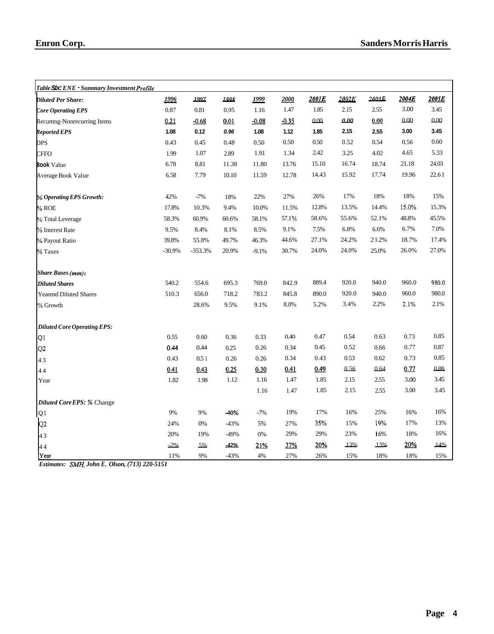<span id="page-3-0"></span>

| Table Six: ENE - Summary Investment Profile |          |           |        |            |         |       |       |       |       |       |
|---------------------------------------------|----------|-----------|--------|------------|---------|-------|-------|-------|-------|-------|
| <b>Diluted Per Share:</b>                   | 1996     | 1997      | 1998   | 1999       | 2000    | 2001E | 2002E | 2003E | 2004E | 2005E |
| <b>Core Operating EPS</b>                   | 0.87     | 0.81      | 0.95   | 1.16       | 1.47    | 1.85  | 2.15  | 2.55  | 3.00  | 3.45  |
| Recumng-Nonrecurring Items                  | 0.21     | $-0.68$   | 0.01   | $-0.08$    | $-0.35$ | 000   | 0.00  | 0.00  | 0.00  | 0.00  |
| <b>Reported EPS</b>                         | 1.08     | 0.12      | 0.96   | 1.08       | 1.12    | 1.85  | 2.15  | 2.55  | 3.00  | 3.45  |
| <b>DPS</b>                                  | 0.43     | 0.45      | 0.48   | 0.50       | 0.50    | 0.50  | 0.52  | 0.54  | 0.56  | 0.60  |
| <b>CFFO</b>                                 | 1.99     | 1.07      | 2.89   | 1.91       | 1.34    | 2.42  | 3.25  | 4.02  | 4.65  | 5.33  |
| <b>Book Value</b>                           | 6.78     | 8.81      | 11.38  | 11.80      | 13.76   | 15.10 | 16.74 | 18.74 | 21.18 | 24.03 |
| Average Book Value                          | 6.58     | 7.79      | 10.10  | 11.59      | 12.78   | 14.43 | 15.92 | 17.74 | 19.96 | 22.61 |
| % Operating EPS Growth:                     | 42%      | $-7%$     | 18%    | 22%        | 27%     | 26%   | 17%   | 18%   | 18%   | 15%   |
| $%$ ROE                                     | 17.8%    | 10.3%     | 9.4%   | 10.0%      | 11.5%   | 12.8% | 13.5% | 14.4% | 15.0% | 15.3% |
| % Total Leverage                            | 58.3%    | 60.9%     | 60.6%  | 58.1%      | 57.1%   | 58.6% | 55.6% | 52.1% | 48.8% | 45.5% |
| % Interest Rate                             | 9.5%     | 8.4%      | 8.1%   | 8.5%       | 9.1%    | 7.5%  | 6.8%  | 6.6%  | 6.7%  | 7.0%  |
| % Payout Ratio                              | 39.8%    | 55.8%     | 49.7%  | 46.3%      | 44.6%   | 27.1% | 24.2% | 21.2% | 18.7% | 17.4% |
| % Taxes                                     | $-30.9%$ | $-353.3%$ | 20.9%  | $-9.1%$    | 30.7%   | 24.0% | 24.0% | 25.0% | 26.0% | 27.0% |
| <b>Share Bases (mm):</b>                    |          |           |        |            |         |       |       |       |       |       |
| <b>Diluted Shares</b>                       | 540.2    | 554.6     | 695.3  | 769.0      | 842.9   | 889.4 | 920.0 | 940.0 | 960.0 | 980.0 |
| <b>Yearend Diluted Shares</b>               | 510.3    | 656.0     | 718.2  | 783.2      | 845.8   | 890.0 | 920.0 | 940.0 | 960.0 | 980.0 |
| % Growth                                    |          | 28.6%     | 9.5%   | 9.1%       | 8.0%    | 5.2%  | 3.4%  | 2.2%  | 2.1%  | 2.1%  |
| <b>Diluted Core Operating EPS:</b>          |          |           |        |            |         |       |       |       |       |       |
| Q1                                          | 0.55     | 0.60      | 0.36   | 0.33       | 0.40    | 0.47  | 0.54  | 0.63  | 0.73  | 0.85  |
| Q <sub>2</sub>                              | 0.44     | 0.44      | 0.25   | 0.26       | 0.34    | 0.45  | 0.52  | 0.66  | 0.77  | 0.87  |
| 43                                          | 0.43     | 0.51      | 0.26   | 0.26       | 0.34    | 0.43  | 0.53  | 0.62  | 0.73  | 0.85  |
| 44                                          | 0.41     | 0.43      | 0.25   | 0.30       | 0.41    | 0.49  | 0.56  | 0.64  | 0.77  | 0.88  |
| Year                                        | 1.82     | 1.98      | 1.12   | 1.16       | 1.47    | 1.85  | 2.15  | 2.55  | 3.00  | 3.45  |
|                                             |          |           |        | 1.16       | 1.47    | 1.85  | 2.15  | 2.55  | 3.00  | 3.45  |
| Diluted Core EPS: % Change                  |          |           |        |            |         |       |       |       |       |       |
| Q1                                          | 9%       | 9%        | -40%   | $-7%$      | 19%     | 17%   | 16%   | 25%   | 16%   | 16%   |
| Q2                                          | 24%      | $0\%$     | $-43%$ | 5%         | 27%     | 35%   | 15%   | 19%   | 17%   | 13%   |
| 43                                          | 20%      | 19%       | $-49%$ | 0%         | 29%     | 29%   | 23%   | 16%   | 18%   | 16%   |
| 44                                          | $-2%$    | 5%        | -42%   | <u>21%</u> | 37%     | 20%   | 13%   | 13%   | 20%   | 14%   |
| Year                                        | 11%      | 9%        | $-43%$ | 4%         | 27%     | 26%   | 15%   | 18%   | 18%   | 15%   |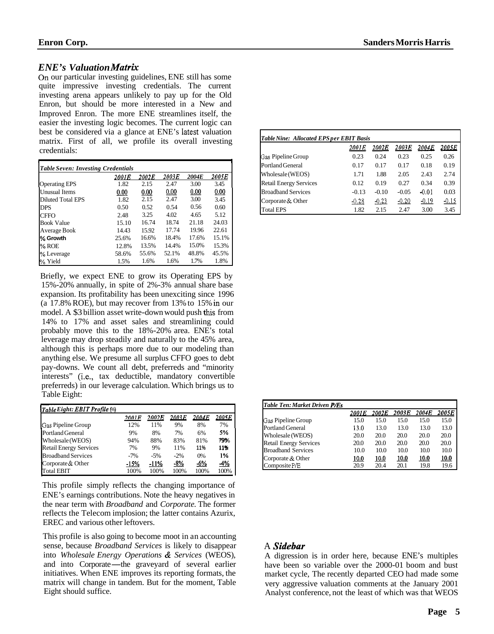#### <span id="page-4-0"></span>*ENE's Valuation Matrk*

On our particular investing guidelines, ENE still has some quite impressive investing credentials. The current investing arena appears unlikely to pay up for the Old Enron, but should be more interested in a New and Improved Enron. The more ENE streamlines itself, the easier the investing logic becomes. The current logic can best be considered via a glance at ENE's latest valuation matrix. First of all, we profile its overall investing credentials:

| <b>Table Seven: Investing Credentials</b> |       |       |       |       |       |  |  |  |
|-------------------------------------------|-------|-------|-------|-------|-------|--|--|--|
|                                           | 2001E | 2002E | 2003E | 2004E | 2005E |  |  |  |
| <b>Operating EPS</b>                      | 1.82  | 2.15  | 2.47  | 3.00  | 3.45  |  |  |  |
| <b>Unusual Items</b>                      | 0.00  | 0.00  | 0.00  | 0.00  | 0.00  |  |  |  |
| <b>Diluted Total EPS</b>                  | 1.82  | 2.15  | 2.47  | 3.00  | 3.45  |  |  |  |
| <b>DPS</b>                                | 0.50  | 0.52  | 0.54  | 0.56  | 0.60  |  |  |  |
| <b>CFFO</b>                               | 2.48  | 3.25  | 4.02  | 4.65  | 5.12  |  |  |  |
| <b>Book Value</b>                         | 15.10 | 16.74 | 18.74 | 21.18 | 24.03 |  |  |  |
| Average Book                              | 14.43 | 15.92 | 17.74 | 19.96 | 22.61 |  |  |  |
| % Growth                                  | 25.6% | 16.6% | 18.4% | 17.6% | 15.1% |  |  |  |
| % ROE                                     | 12.8% | 13.5% | 14.4% | 15.0% | 15.3% |  |  |  |
| % Leverage                                | 58.6% | 55.6% | 52.1% | 48.8% | 45.5% |  |  |  |
| % Yield                                   | 1.5%  | 1.6%  | 1.6%  | 1.7%  | 1.8%  |  |  |  |

Briefly, we expect ENE to grow its Operating EPS by 15%-20% annually, in spite of 2%-3% annual share base expansion. Its profitability has been unexciting since 1996 (a 17.8% ROE), but may recover from 13% to 15% **in** our model. A \$3 billion asset write-down would push this from 14% to 17% and asset sales and streamlining could probably move this to the 18%-20% area. ENE's total leverage may drop steadily and naturally to the 45% area, although this is perhaps more due to our modeling than anything else. We presume all surplus CFFO goes to debt pay-downs. We count all debt, preferreds and "minority interests" (i.e., tax deductible, mandatory convertible preferreds) in our leverage calculation. Which brings us to Table Eight:

| interests" (i.e., tax deductible, mandatory convertible     |         |              |        |       |       |
|-------------------------------------------------------------|---------|--------------|--------|-------|-------|
| preferreds) in our leverage calculation. Which brings us to |         |              |        |       |       |
| Table Eight:                                                |         |              |        |       |       |
|                                                             |         |              |        |       |       |
| Table Eight: EBIT Profile (%)                               |         |              |        |       |       |
|                                                             | 2001 F. | <b>2002E</b> | 2003.E | 2004E | 2005E |
| Gas Pipeline Group                                          | 12%     | 11%          | 9%     | 8%    | 7%    |
| Portland General                                            | 9%      | 8%           | 7%     | 6%    | 5%    |
| Wholesale (WEOS)                                            | 94%     | 88%          | 83%    | 81%   | 79%   |
| <b>Retail Energy Services</b>                               | 7%      | 9%           | 11%    | 11%   | 11%   |
| <b>Broadband Services</b>                                   | $-7%$   | $-5\%$       | $-2\%$ | 0%    | 1%    |
| Corporate & Other                                           | $-15%$  | $-11%$       | $-8%$  | $-6%$ | 4%    |
| <b>Total EBIT</b>                                           | 100%    | 100%         | 100%   | 100%  | 100%  |

This profile simply reflects the changing importance of ENE's earnings contributions. Note the heavy negatives in the near term with *Broadband* and *Corporate.* The former reflects the Telecom implosion; the latter contains Azurix, EREC and various other leftovers.

This profile is also going to become moot in an accounting sense, because *Broadband Services* is likely to disappear into *Wholesale Energy Operations* & *Services* (WEOS), and into Corporate—the graveyard of several earlier initiatives Whon ENE improves its reporting formats the into *Wholesale Energy Operations* & *Services* (WEOS), initiatives. When ENE improves its reporting formats, the matrix will change in tandem. But for the moment, Table Eight should suffice.

| <b>Table Nine: Allocated EPS per EBIT Basis</b> |         |         |         |         |         |  |  |  |
|-------------------------------------------------|---------|---------|---------|---------|---------|--|--|--|
|                                                 | 2001E   | 2002E   | 2003E   | 2004E   | 2005E   |  |  |  |
| Gas Pipeline Group                              | 0.23    | 0.24    | 0.23    | 0.25    | 0.26    |  |  |  |
| Portland General                                | 0.17    | 0.17    | 0.17    | 0.18    | 0.19    |  |  |  |
| Wholesale (WEOS)                                | 1.71    | 1.88    | 2.05    | 2.43    | 2.74    |  |  |  |
| <b>Retail Energy Services</b>                   | 0.12    | 0.19    | 0.27    | 0.34    | 0.39    |  |  |  |
| <b>Broadband Services</b>                       | $-0.13$ | $-0.10$ | $-0.05$ | $-0.01$ | 0.03    |  |  |  |
| Corporate & Other                               | $-0.28$ | $-0.23$ | $-0.20$ | $-0.19$ | $-0.15$ |  |  |  |
| <b>Total EPS</b>                                | 1.82    | 2.15    | 2.47    | 3.00    | 3.45    |  |  |  |

| Table Ten: Market Driven P/Es |       |                     |              |             |                     |
|-------------------------------|-------|---------------------|--------------|-------------|---------------------|
|                               | 2001E | <i><b>2002E</b></i> | 2003E        | 2004E       | <i><b>2005E</b></i> |
| Gas Pipeline Group            | 15.0  | 15.0                | 15.0         | 15.0        | 15.0                |
| Portland General              | 13.0  | 13.0                | 13.0         | 13.0        | 13.0                |
| Wholesale (WEOS)              | 20.0  | 20.0                | 20.0         | 20.0        | 20.0                |
| <b>Retail Energy Services</b> | 20.0  | 20.0                | 20.0         | 20.0        | 20.0                |
| <b>Broadband Services</b>     | 10.0  | 10.0                | 10.0         | 10.0        | 10.0                |
| Corporate & Other             | 10.0  | 10.0                | <u> 10.0</u> | <u>10.0</u> | 10.0                |
| Composite P/E                 | 20.9  | 20.4                | 20.1         | 19.8        | 19.6                |

#### A *Sidebar*

A digression is in order here, because ENE's multiples have been so variable over the 2000-01 boom and bust market cycle, The recently departed CEO had made some very aggressive valuation comments at the January 2001 Analyst conference, not the least of which was that WEOS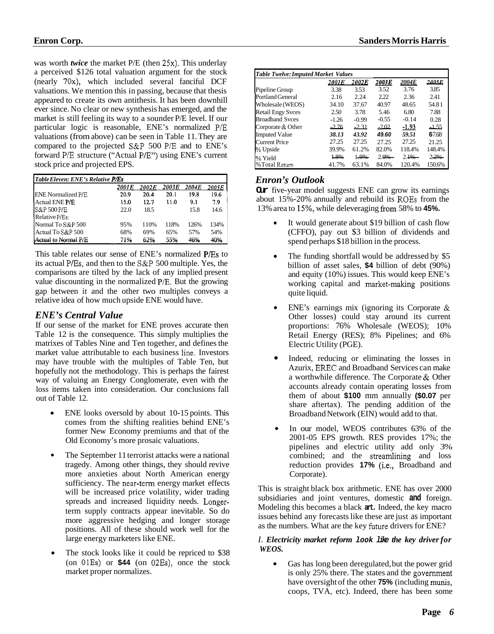was worth *twice* the market P/E (then 25x). This underlay a perceived \$126 total valuation argument for the stock (nearly OX), which included several fanciful DCF valuations. We mention this in passing, because that thesis appeared to create its own antithesis. It has been downhill ever since. No clear or new synthesis has emerged, and the market is still feeling its way to a sounder P/E level. If our particular logic is reasonable, ENE's normalized P/E valuations (from above) can be seen in Table 11. They are compared to the projected S&P 500 P/E and to ENE's forward P/E structure ("Actual P/E") using ENE's current stock price and projected EPS.

| Table Eleven: ENE's Relative <b>P/Es</b> |       |       |       |       |       |  |  |  |  |
|------------------------------------------|-------|-------|-------|-------|-------|--|--|--|--|
|                                          | 2001E | 2002E | 2003E | 2004E | 2005E |  |  |  |  |
| <b>ENE Normalized P/E</b>                | 20.9  | 20.4  | 20.1  | 19.8  | 19.6  |  |  |  |  |
| <b>Actual ENE P/E</b>                    | 15.0  | 12.7  | 11.0  | 9.1   | 7.9   |  |  |  |  |
| IS&P 500 P/E                             | 22.0  | 18.5  |       | 15.8  | 14.6  |  |  |  |  |
| Relative P/Es:                           |       |       |       |       |       |  |  |  |  |
| Normal To S&P 500                        | 95%   | 110%  | 118%  | 126%  | 134%  |  |  |  |  |
| Actual To S&P 500                        | 68%   | 69%   | 65%   | 57%   | 54%   |  |  |  |  |
| Actual to Normal P/E                     | 71%   | 62%   | 55%   | 46%   | 40%   |  |  |  |  |

This table relates our sense of ENE's normalized P/Es to its actual P/Es, and then to the S&P 500 multiple. Yes, the comparisons are tilted by the lack of any implied present value discounting in the normalized P/E. But the growing gap between it and the other two multiples conveys a relative idea of how much upside ENE would have.

#### *ENE's Central Value*

If our sense of the market for ENE proves accurate then Table 12 is the consequence. This simply multiplies the matrixes of Tables Nine and Ten together, and defines the market value attributable to each business line. Investors may have trouble with the multiples of Table Ten, but hopefully not the methodology. This is perhaps the fairest way of valuing an Energy Conglomerate, even with the loss items taken into consideration. Our conclusions fall out of Table 12.

- ENE looks oversold by about 10-15 points. This comes from the shifting realities behind ENE's former New Economy premiums and that of the Old Economy's more prosaic valuations.
- The September 11 terrorist attacks were a national  $\bullet$ tragedy. Among other things, they should revive more anxieties about North American energy sufficiency. The near-term energy market effects will be increased price volatility, wider trading spreads and increased liquidity needs. Longerterm supply contracts appear inevitable. So do more aggressive hedging and longer storage positions. All of these should work well for the large energy marketers like ENE.
- $\bullet$ The stock looks like it could be repriced to \$38 (on OlEs) or **\$44** (on 02Es), once the stock market proper normalizes.

|                                     |         | <b>Sanders Morris Harris</b> |               |         |        |  |
|-------------------------------------|---------|------------------------------|---------------|---------|--------|--|
|                                     |         |                              |               |         |        |  |
| Table Twelve: Imputed Market Values |         |                              |               |         |        |  |
|                                     | 2001E   | 2002E                        | 20 <u>03E</u> | 2004E   | 2005 E |  |
| Pipeline Group                      | 3.38    | 3.53                         | 3.52          | 3.76    | 3.85   |  |
| Portland General                    | 2.16    | 2.24                         | 2.22          | 2.36    | 2.41   |  |
| Wholesale (WEOS)                    | 34.10   | 37.67                        | 40.97         | 48.65   | 54.81  |  |
| <b>Retail Engy Syces</b>            | 2.50    | 3.78                         | 5.46          | 6.80    | 7.88   |  |
| <b>Broadband Syces</b>              | $-1.26$ | $-0.99$                      | $-0.55$       | $-0.14$ | 0.28   |  |
| Corporate & Other                   | $-2.76$ | $-2.31$                      | $-2.02$       | $-1.93$ | ككك    |  |
| <b>Imputed Value</b>                | 38.13   | 43.92                        | 49.60         | 59.51   | 67.68  |  |
| Current Price                       | 27.25   | 27.25                        | 27.25         | 27.25   | 21.25  |  |
| % Upside                            | 39.9%   | 61.2%                        | 82.0%         | 118.4%  | 148.4% |  |
| ∣% Yield                            | 1.8%    | 1.9%                         | 2.0%          | 2.1%    | 2.2%   |  |
| l%Total Return                      | 41.7%   | 63.1%                        | 84.0%         | 120.4%  | 150.6% |  |

### *Enron* **'s** *Outlook*

**Our** five-year model suggests ENE can grow its earnings about 15%-20% annually and rebuild its ROES from the 13% area to 15%, while deleveraging fiom 58% to **45%.** 

- $\bullet$ It would generate about \$19 billion of cash flow (CFFO), pay out \$3 billion of dividends and spend perhaps \$18 billion in the process.
- The funding shortfall would be addressed by \$5 billion of asset sales, **\$4** billion of debt (90%) and equity (10%) issues. This would keep ENE's working capital and market-making positions quite liquid.
- ENE's earnings mix (ignoring its Corporate &  $\bullet$ Other losses) could stay around its current proportions: 76% Wholesale (WEOS); 10% Retail Energy (RES); 8% Pipelines; and 6% Electric Utility (PGE).
- Indeed, reducing or eliminating the losses in Azurix, **EREC** and Broadband Services can make a worthwhile difference. The Corporate & Other accounts already contain operating losses from them of about **\$100** mm annually **(\$0.07** per share aftertax). The pending addition of the Broadband Network (EIN) would add to that. *0*
- In our model, WEOS contributes 63% of the  $\bullet$ 2001-05 EPS growth. RES provides 17%; the pipelines and electric utility add only 3% combined; and the streamlining and loss reduction provides **17%** (i.e., Broadband and Corporate).

This is straight black box arithmetic. ENE has over 2000 subsidiaries and joint ventures, domestic **and** foreign. Modeling this becomes a black **art.** Indeed, the key macro issues behind any forecasts like these are just as important as the numbers. What are the key future drivers for ENE?

#### *I. Electricity market reform look like the key driver for WEOS.*

Gas has long been deregulated, but the power grid  $\bullet$ is only 25% there. The states and the government have oversight of the other **75%** (including munis, coops, TVA, etc). Indeed, there has been some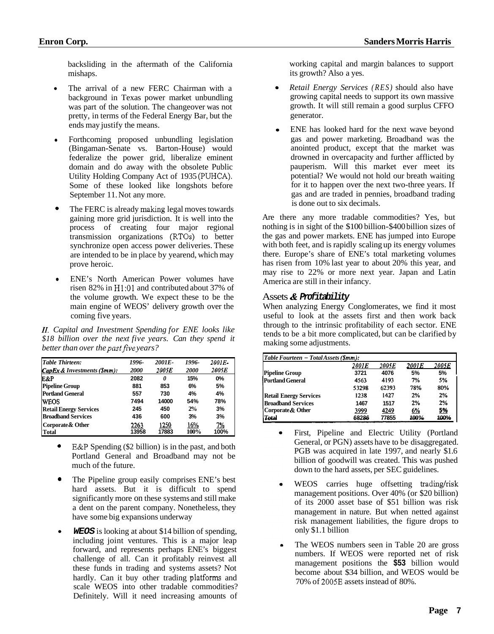<span id="page-6-0"></span>backsliding in the aftermath of the California mishaps.

- The arrival of a new FERC Chairman with a background in Texas power market unbundling was part of the solution. The changeover was not pretty, in terms of the Federal Energy Bar, but the ends may justify the means.
- Forthcoming proposed unbundling legislation (Bingaman-Senate vs. Barton-House) would federalize the power grid, liberalize eminent domain and do away with the obsolete Public Utility Holding Company Act of 1935 (PUHCA). Some of these looked like longshots before September 11. Not any more.
- The FERC is already making legal moves towards gaining more grid jurisdiction. It is well into the process of creating four major regional transmission organizations (RTOs) to better synchronize open access power deliveries. These are intended to be in place by yearend, which may prove heroic. *0*
- ENE's North American Power volumes have risen 82% in H1:Ol and contributed about 37% of the volume growth. We expect these to be the main engine of WEOS' delivery growth over the coming five years.

*11. Capital and Investment Spending for ENE looks like \$18 billion over the next five years. Can they spend it better than over the pastfive years?* 

| Table Thirteen:                                          | 1996-       | 2001E- | 1996-       | 2001E- |
|----------------------------------------------------------|-------------|--------|-------------|--------|
| $\mathcal{C}apEx\&\mathcal{I}nvestments(\mathcal{S}mm):$ | <b>2000</b> | 2005E  | <b>2000</b> | 2005E  |
| E&P                                                      | 2082        | 0      | 15%         | 0%     |
| <b>Pipeline Group</b>                                    | 881         | 853    | 6%          | 5%     |
| <b>Portland General</b>                                  | 557         | 730    | 4%          | 4%     |
| <b>IWEOS</b>                                             | 7494        | 14000  | 54%         | 78%    |
| <b>Retail Energy Services</b>                            | 245         | 450    | 2%          | 3%     |
| <b>Broadband Services</b>                                | 436         | 600    | 3%          | 3%     |
| Corporate& Other                                         | 2263        | 1250   | 16%         | 7%     |
| Total                                                    | 13958       | 17883  | 100%        | 100%   |

- E&P Spending (\$2 billion) is in the past, and both Portland General and Broadband may not be much of the future.
- The Pipeline group easily comprises ENE's best hard assets. But it is difficult to spend significantly more on these systems and still make a dent on the parent company. Nonetheless, they have some big expansions underway *0*
- *WEOS* is looking at about \$14 billion of spending, including joint ventures. This is a major leap forward, and represents perhaps ENE's biggest challenge of all. Can it profitably reinvest all these funds in trading and systems assets? Not hardly. Can it buy other trading platforms and scale WEOS into other tradable commodities? Definitely. Will it need increasing amounts of

working capital and margin balances to support its growth? Also a yes.

- *Retail Energy Services (RES)* should also have growing capital needs to support its own massive growth. It will still remain a good surplus CFFO generator.
- ENE has looked hard for the next wave beyond gas and power marketing. Broadband was the anointed product, except that the market was drowned in overcapacity and further afflicted by pauperism. Will this market ever meet its potential? We would not hold our breath waiting for it to happen over the next two-three years. If gas and are traded in pennies, broadband trading is done out to six decimals.

Are there any more tradable commodities? Yes, but nothing is in sight of the \$100 billion-\$400 billion sizes of the gas and power markets. ENE has jumped into Europe with both feet, and is rapidly scaling up its energy volumes there. Europe's share of ENE's total marketing volumes has risen from 10% last year to about 20% this year, and may rise to 22% or more next year. Japan and Latin America are still in their infancy.

#### Assets & *Profitability*

When analyzing Energy Conglomerates, we find it most useful to look at the assets first and then work back through to the intrinsic profitability of each sector. ENE tends to be a bit more complicated, but can be clarified by making some adjustments.

| $[Table Fourteen - Total Assets (5mm):$ |       |       |       |       |  |  |  |
|-----------------------------------------|-------|-------|-------|-------|--|--|--|
|                                         | 2001E | 2005E | 2001E | 2005E |  |  |  |
| <b>Pipeline Group</b>                   | 3721  | 4076  | 5%    | 5%    |  |  |  |
| <b>Portland General</b>                 | 4563  | 4193  | 7%    | 5%    |  |  |  |
|                                         | 53298 | 62393 | 78%   | 80%   |  |  |  |
| <b>Retail Energy Services</b>           | 1238  | 1427  | 2%    | 2%    |  |  |  |
| <b>Broadband Services</b>               | 1467  | 1517  | 2%    | 2%    |  |  |  |
| Corporate & Other                       | 3999  | 4249  | 6%    | 5%    |  |  |  |
| <b>Total</b>                            | 68286 | 77855 | 100%  | 100%  |  |  |  |

- First, Pipeline and Electric Utility (Portland  $\bullet$ General, or PGN) assets have to be disaggregated. PGB was acquired in late 1997, and nearly \$1.6 billion of goodwill was created. This was pushed down to the hard assets, per SEC guidelines.
- WEOS carries huge offsetting trading/risk management positions. Over 40% (or \$20 billion) of its 2000 asset base of \$51 billion was risk management in nature. But when netted against risk management liabilities, the figure drops to only \$1.1 billion
- The WEOS numbers seen in Table 20 are gross numbers. If WEOS were reported net of risk management positions the **\$53** billion would become about \$34 billion, and WEOS would be 70% of 2005E assets instead of 80%.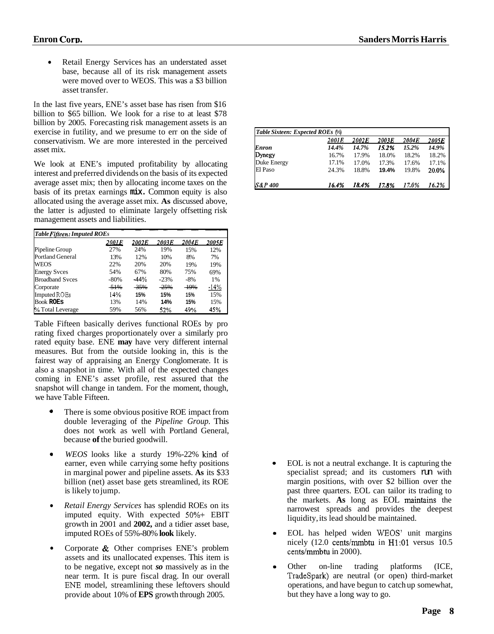<span id="page-7-0"></span>Retail Energy Services has an understated asset  $\bullet$ base, because all of its risk management assets were moved over to WEOS. This was a \$3 billion asset transfer.

In the last five years, ENE's asset base has risen from \$16 billion to \$65 billion. We look for a rise to at least \$78 billion by 2005. Forecasting risk management assets is an exercise in futility, and we presume to err on the side of conservativism. We are more interested in the perceived asset mix.

We look at ENE's imputed profitability by allocating interest and preferred dividends on the basis of its expected average asset mix; then by allocating income taxes on the basis of its pretax earnings **mix.** Common equity is also allocated using the average asset mix. **As** discussed above,<br>
the latter is adjusted to eliminate largely offsetting risk<br>
management assets and liabilities.<br> **Table Fifteen: Imputed ROEs**<br>
Pipeline Group<br>  $\frac{2001E}{27\%$ the latter is adjusted to eliminate largely offsetting risk management assets and liabilities.

| <b>Table Fifteen: Imputed ROEs</b> |        |        |        |       |        |  |  |
|------------------------------------|--------|--------|--------|-------|--------|--|--|
|                                    | 2001 E | 2002E  | 2003E  | 2004E | 2005E  |  |  |
| Pipeline Group                     | 27%    | 24%    | 19%    | 15%   | 12%    |  |  |
| Portland General                   | 13%    | 12%    | 10%    | 8%    | 7%     |  |  |
| <b>WEOS</b>                        | 22%    | 20%    | 20%    | 19%   | 19%    |  |  |
| <b>Energy Syces</b>                | 54%    | 67%    | 80%    | 75%   | 69%    |  |  |
| <b>Broadband Syces</b>             | $-80%$ | $-44%$ | $-23%$ | $-8%$ | 1%     |  |  |
| Corporate                          | $-51%$ | -35%   | 25%    | 49%   | $-14%$ |  |  |
| <b>Imputed ROEs</b>                | 14%    | 15%    | 15%    | 15%   | 15%    |  |  |
| <b>Book ROES</b>                   | 13%    | 14%    | 14%    | 15%   | 15%    |  |  |
| % Total Leverage                   | 59%    | 56%    | 52%    | 49%   | 45%    |  |  |

Table Fifteen basically derives functional ROEs by pro rating fixed charges proportionately over a similarly pro rated equity base. ENE **may** have very different internal measures. But from the outside looking in, this is the fairest way of appraising an Energy Conglomerate. It is also a snapshot in time. With all of the expected changes coming in ENE's asset profile, rest assured that the snapshot will change in tandem. For the moment, though, we have Table Fifteen.

- There is some obvious positive ROE impact from double leveraging of the *Pipeline Group.* This does not work as well with Portland General, because **of** the buried goodwill. *0*
- *<sup>0</sup>WEOS* looks like a sturdy 19%-22% kind of earner, even while carrying some hefty positions in marginal power and pipeline assets. **As** its \$33 billion (net) asset base gets streamlined, its ROE is likely to jump.
- *Retail Energy Services* has splendid ROEs on its  $\bullet$ imputed equity. With expected **50%+** EBIT growth in 2001 and **2002,** and a tidier asset base, imputed ROEs of 55%-80% **look** likely.
- $\bullet$ Corporate & Other comprises ENE's problem assets and its unallocated expenses. This item is to be negative, except not *so* massively as in the near term. It is pure fiscal drag. In our overall ENE model, streamlining these leftovers should provide about 10% of **EPS** growth through 2005.

| <b>Table Sixteen: Expected ROEs (%)</b> |       |       |       |       |       |  |  |  |
|-----------------------------------------|-------|-------|-------|-------|-------|--|--|--|
|                                         | 2001E | 2002E | 2003E | 2004E | 2005E |  |  |  |
| Enron                                   | 14.4% | 14.7% | 15.2% | 15.2% | 14.9% |  |  |  |
| Dynegy                                  | 16.7% | 17.9% | 18.0% | 18.2% | 18.2% |  |  |  |
| Duke Energy                             | 17.1% | 17.0% | 17.3% | 17.6% | 17.1% |  |  |  |
| El Paso                                 | 24.3% | 18.8% | 19.4% | 19.8% | 20.0% |  |  |  |
| <b>S&amp;P 400</b>                      | 16.4% | 18.4% | 17.8% | 17.0% | 16.2% |  |  |  |

- EOL is not a neutral exchange. It is capturing the specialist spread; and its customers run with margin positions, with over \$2 billion over the past three quarters. EOL can tailor its trading to the markets. **As** long as EOL maintains the narrowest spreads and provides the deepest liquidity, its lead should be maintained.
- $\bullet$ EOL has helped widen WEOS' unit margins nicely (12.0 cents/mmbtu in H1:Ol versus 10.5 cents/mmbtu in 2000).
- Other on-line trading platforms (ICE,  $\bullet$ Tradespark) are neutral (or open) third-market operations, and have begun to catch up somewhat, but they have a long way to go.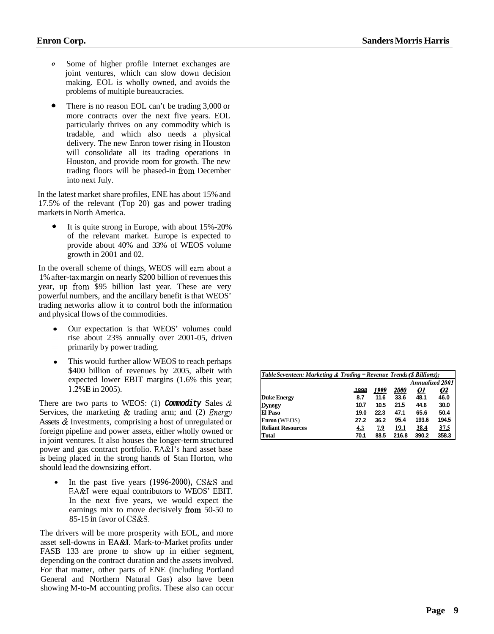- <span id="page-8-0"></span>*0* Some of higher profile Internet exchanges are joint ventures, which can slow down decision making. EOL is wholly owned, and avoids the problems of multiple bureaucracies.
- There is no reason EOL can't be trading 3,000 or more contracts over the next five years. EOL particularly thrives on any commodity which is tradable, and which also needs a physical delivery. The new Enron tower rising in Houston will consolidate all its trading operations in Houston, and provide room for growth. The new trading floors will be phased-in fiom December into next July. *0*

In the latest market share profiles, ENE has about 15% and 17.5% of the relevant (Top 20) gas and power trading markets in North America.

It is quite strong in Europe, with about 15%-20% of the relevant market. Europe is expected to provide about 40% and 33% of WEOS volume growth in 2001 and 02. *0* 

In the overall scheme of things, WEOS will earn about a 1% after-tax margin on nearly \$200 billion of revenues this year, up fiom \$95 billion last year. These are very powerful numbers, and the ancillary benefit is that WEOS' trading networks allow it to control both the information and physical flows of the commodities.

- Our expectation is that WEOS' volumes could rise about 23% annually over 2001-05, driven primarily by power trading.
- This would further allow WEOS to reach perhaps \$400 billion of revenues by 2005, albeit with expected lower EBIT margins (1.6% this year; 1.2%E in 2005).

There are two parts to WEOS: (1) **Commodity** Sales  $\&$ Services, the marketing & trading arm; and (2) *Energy*  Assets & Investments, comprising a host of unregulated or foreign pipeline and power assets, either wholly owned or in joint ventures. It also houses the longer-term structured power and gas contract portfolio. EA&I's hard asset base is being placed in the strong hands of Stan Horton, who should lead the downsizing effort.

In the past five years (1996-2000), CS&S and  $\bullet$ EA&I were equal contributors to WEOS' EBIT. In the next five years, we would expect the earnings mix to move decisively from 50-50 to 85-15 in favor of CS&S.

The drivers will be more prosperity with EOL, and more asset sell-downs in EA&I. Mark-to-Market profits under FASB 133 are prone to show up in either segment, depending on the contract duration and the assets involved. For that matter, other parts of ENE (including Portland General and Northern Natural Gas) also have been showing M-to-M accounting profits. These also can occur

| Table Seventeen: Marketing & Trading = Revenue Trends (\$ Billions): |            |            |                    |           |           |  |  |
|----------------------------------------------------------------------|------------|------------|--------------------|-----------|-----------|--|--|
| <b>Annualized 2001</b>                                               |            |            |                    |           |           |  |  |
|                                                                      | 1008       | 1999       | <i><b>2000</b></i> | <u>01</u> | <u>02</u> |  |  |
| Duke Energy                                                          | 8.7        | 11.6       | 33.6               | 48.1      | 46.0      |  |  |
| Dynegy                                                               | 10.7       | 10.5       | 21.5               | 44.6      | 30.0      |  |  |
| El Paso                                                              | 19.0       | 22.3       | 47.1               | 65.6      | 50.4      |  |  |
| Enron (WEOS)                                                         | 27.2       | 36.2       | 95.4               | 193.6     | 194.5     |  |  |
| <b>Reliant Resources</b>                                             | <u>4.3</u> | <u>7.9</u> | 19.1               | 38.4      | 37.5      |  |  |
| <b>Total</b>                                                         | 70.1       | 88.5       | 216.8              | 390.2     | 358.3     |  |  |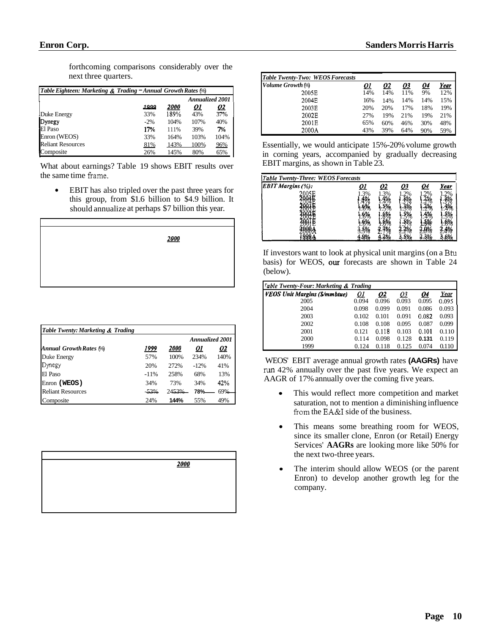forthcoming comparisons considerably over the next three quarters.

| next three quarters.                                          |        |      |                        |           |  |  |  |
|---------------------------------------------------------------|--------|------|------------------------|-----------|--|--|--|
| Table Eighteen: Marketing & Trading - Annual Growth Rates (%) |        |      |                        |           |  |  |  |
|                                                               |        |      | <b>Annualized 2001</b> |           |  |  |  |
|                                                               | 1999   | 2000 | 01                     | <u>02</u> |  |  |  |
| Duke Energy                                                   | 33%    | 189% | 43%                    | 37%       |  |  |  |
| Dynegy                                                        | $-2\%$ | 104% | 107%                   | 40%       |  |  |  |
| El Paso                                                       | 17%    | 111% | 39%                    | 7%        |  |  |  |
| Enron (WEOS)                                                  | 33%    | 164% | 103%                   | 104%      |  |  |  |
| <b>Reliant Resources</b>                                      | 81%    | 143% | 100%                   | 96%       |  |  |  |
| Composite                                                     | 26%    | 145% | 80%                    | 65%       |  |  |  |

What about earnings? Table 19 shows EBIT results over the same time frame.

EBIT has also tripled over the past three years for  $\bullet$ this group, from \$1.6 billion to \$4.9 billion. It should annualize at perhaps \$7 billion this year.

| 2000 |
|------|
|      |
|      |

| Table Twenty: Marketing & Trading |        |                    |                        |           |  |  |
|-----------------------------------|--------|--------------------|------------------------|-----------|--|--|
|                                   |        |                    | <b>Annualized 2001</b> |           |  |  |
| <b>Annual Growth Rates (%)</b>    | 1999   | <i><b>2000</b></i> | <u>01</u>              | <u>02</u> |  |  |
| Duke Energy                       | 57%    | 100%               | 234%                   | 140%      |  |  |
| Dynegy                            | 20%    | 272%               | $-12%$                 | 41%       |  |  |
| El Paso                           | $-11%$ | 258%               | 68%                    | 13%       |  |  |
| Enron (WEOS)                      | 34%    | 73%                | 34%                    | 42%       |  |  |
| Reliant Resources                 | $-53%$ | 2453%              | 78%                    | 69%       |  |  |
| Composite                         | 24%    | 144%               | 55%                    | 49%       |  |  |

| 2000 |
|------|
|      |
|      |
|      |
|      |
|      |

| Table Twenty-Two: WEOS Forecasts |           |     |           |           |      |
|----------------------------------|-----------|-----|-----------|-----------|------|
| Volume Growth (%)                | <u>01</u> | 02  | <u>03</u> | <u>04</u> | Year |
| 2005E                            | 14%       | 14% | 11%       | 9%        | 12%  |
| 2004E                            | 16%       | 14% | 14%       | 14%       | 15%  |
| 2003E                            | 20%       | 20% | 17%       | 18%       | 19%  |
| 2002E                            | 27%       | 19% | 21%       | 19%       | 21%  |
| 2001E                            | 65%       | 60% | 46%       | 30%       | 48%  |
| 2000A                            | 43%       | 39% | 64%       | 90%       | 59%  |

| <b>Table Twenty-Three: WEOS Forecasts</b> |  |  |      |
|-------------------------------------------|--|--|------|
| <b>EBIT Margins (%):</b>                  |  |  | Year |
|                                           |  |  |      |
|                                           |  |  |      |
|                                           |  |  |      |
|                                           |  |  |      |
|                                           |  |  |      |
|                                           |  |  |      |

| <b>Sanders Morris Harris</b><br><b>Table Twenty-Two: WEOS Forecasts</b><br>Volume Growth (%)<br>2005E                                                                                                                                                                                                                                                                                                                                                                                                                                                                                                                                                                                                                  |  |  |  |
|------------------------------------------------------------------------------------------------------------------------------------------------------------------------------------------------------------------------------------------------------------------------------------------------------------------------------------------------------------------------------------------------------------------------------------------------------------------------------------------------------------------------------------------------------------------------------------------------------------------------------------------------------------------------------------------------------------------------|--|--|--|
| 2004E<br>16% 14% 14% 14% 15%<br>2003E<br>20% 20%<br>17%<br>18% 19%<br>2002E<br>27% 19% 21% 19% 21%<br>2001E<br>65% 60% 46% 30% 48%<br>2000A<br>43% 39% 64% 90% 59%<br>Essentially, we would anticipate 15%-20% volume growth<br>in corning years, accompanied by gradually decreasing<br>EBIT margins, as shown in Table 23.<br>Table Twenty-Three: WEOS Forecasts<br>EBIT Margins (%): 0                                                                                                                                                                                                                                                                                                                              |  |  |  |
| $\begin{array}{ c c } \hline \textbf{Q4} & \textbf{Year} \\ \hline 1,296 & 1,298 \\ 1,296 & 1,398 \\ 1,296 & 1,398 \\ 1,296 & 1,398 \\ 1,296 & 1,398 \\ 1,296 & 1,398 \\ 1,296 & 1,398 \\ 1,296 & 1,398 \\ 1,296 & 1,398 \\ 1,296 & 1,398 \\ 1,296 & 1,398 \\ 1,296 & 1,398 \\ 1,296 & 1,398 \\ 1,296$<br>03<br>If investors want to look at physical unit margins (on a Btu<br>basis) for WEOS, our forecasts are shown in Table 24<br>(below).                                                                                                                                                                                                                                                                       |  |  |  |
| Table Twenty-Four: Marketing & Trading<br>VEOS Unit Margins (\$/mmbtue) $\begin{array}{r} Q1 \ Q2 \ Q3 \ Q4 \ \text{Year} \ 2005 \ 0.094 \ 0.094 \ 0.096 \ 0.093 \ 0.095 \ 0.095 \end{array}$<br>$0.098$ $0.099$ $0.091$ $0.086$ $0.093$<br>2004<br>$\begin{bmatrix} 0.102 & 0.101 & 0.091 & 0.082 & 0.093 \\ 0.108 & 0.108 & 0.095 & 0.087 & 0.099 \end{bmatrix}$<br>2003<br>2002<br>$0.121$ $0.118$ $0.103$ $0.101$ $0.110$<br>2001<br>$0.114$ $0.098$ $0.128$ <b>0.131</b> $0.119$<br>2000<br>1999<br>$0.124$ $0.118$ $0.125$ $0.074$ $0.110$<br>WEOS' EBIT average annual growth rates (AAGRs) have<br>run 42% annually over the past five years. We expect an<br>AAGR of 17% annually over the coming five years. |  |  |  |
| • This would reflect more competition and market<br>saturation, not to mention a diminishing influence<br>from the EA&I side of the business.<br>• This means some breathing room for WEOS,<br>since its smaller clone, Enron (or Retail) Energy<br>Services' AAGRs are looking more like 50% for<br>the next two-three years.<br>• The interim should allow WEOS (or the parent<br>Enron) to develop another growth leg for the                                                                                                                                                                                                                                                                                       |  |  |  |
| company.                                                                                                                                                                                                                                                                                                                                                                                                                                                                                                                                                                                                                                                                                                               |  |  |  |
|                                                                                                                                                                                                                                                                                                                                                                                                                                                                                                                                                                                                                                                                                                                        |  |  |  |

- This would reflect more competition and market saturation, not to mention a diminishing influence from the EA&I side of the business.
- This means some breathing room for WEOS, since its smaller clone, Enron (or Retail) Energy Services' **AAGRs** are looking more like 50% for the next two-three years.
- The interim should allow WEOS (or the parent Enron) to develop another growth leg for the company.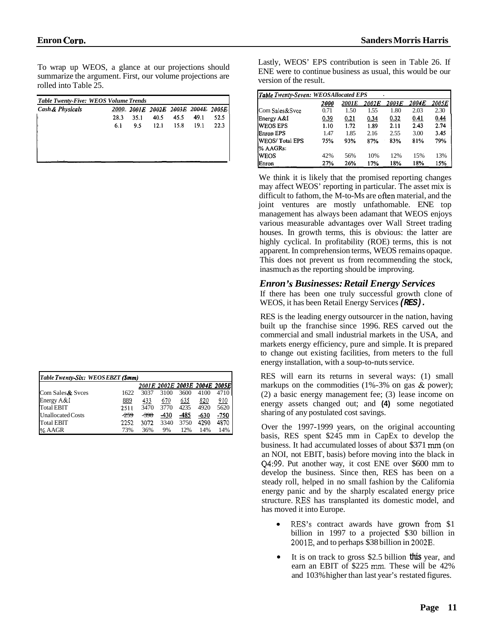<span id="page-10-0"></span>To wrap up WEOS, a glance at our projections should<br>
summarize the argument. First, our volume projections are<br>
rolled into Table 25.<br> *Cash & Physicals*  $\frac{2000}{2001}$   $\frac{2001E}{2002E}$   $\frac{2002E}{2003E}$   $\frac{2004E}{2003E}$ summarize the argument. First, our volume projections are rolled into Table 25.

| <b>Table Twenty-Five: WEOS Volume Trends</b> |             |      |      |      |                               |      |
|----------------------------------------------|-------------|------|------|------|-------------------------------|------|
| <b>Cash &amp; Physicals</b>                  | <i>2000</i> |      |      |      | 2001E 2002E 2003E 2004E 2005E |      |
|                                              | 28.3        | 35.1 | 40.5 | 45.5 | 49.1                          | 52.5 |
|                                              | 6.1         | 9.5  | 12.1 | 15.8 | 19.1                          | 22.3 |
|                                              |             |      |      |      |                               |      |
|                                              |             |      |      |      |                               |      |
|                                              |             |      |      |      |                               |      |
|                                              |             |      |      |      |                               |      |

| Table Twenty-Six: WEOS EBZT (\$mm) |        |        |        |      |                                |            |
|------------------------------------|--------|--------|--------|------|--------------------------------|------------|
|                                    |        |        |        |      | 2001E 2002E 2003E 2004E 2005El |            |
| Com Sales & Syces                  | 1622   | 3037   | 3100   | 3600 | 4100                           | 4710       |
| Energy $A &$ I                     | 889    | 433    | 670    | 635  | 820                            | <u>910</u> |
| Total EBIT                         | 2511   | 3470   | 3770   | 4235 | 4920                           | 5620       |
| Unallocated Costs                  | $-259$ | $-398$ | $-430$ | -485 | $-630$                         | -750       |
| <b>Total EBIT</b>                  | 2252   | 3072   | 3340   | 3750 | 4290                           | 4870       |
| % AAGR                             | 73%    | 36%    | 9%     | 12%  | 14%                            | 14%        |

Lastly, WEOS' EPS contribution is seen in Table 26. If ENE were to continue business as usual, this would be our version of the result.

| <b>Table Twenty-Seven: WEOSAllocated EPS</b> |                    |       |       |        |       |       |  |
|----------------------------------------------|--------------------|-------|-------|--------|-------|-------|--|
|                                              | <i><b>2000</b></i> | 2001E | 2002E | 2003 E | 2004E | 2005E |  |
| Com Sales&Svce                               | 0.71               | 1.50  | 1.55  | 1.80   | 2.03  | 2.30  |  |
| Energy A&I                                   | 0.39               | 0.21  | 0.34  | 0.32   | 0.41  | 0.44  |  |
| <b>WEOS EPS</b>                              | 1.10               | 1.72  | 1.89  | 2.11   | 2.43  | 2.74  |  |
| <b>Enron EPS</b>                             | 1.47               | 1.85  | 2.16  | 2.55   | 3.00  | 3.45  |  |
| WEOS/Total EPS                               | 75%                | 93%   | 87%   | 83%    | 81%   | 79%   |  |
| % AAGRs:                                     |                    |       |       |        |       |       |  |
| IWEOS                                        | 42%                | 56%   | 10%   | 12%    | 15%   | 13%   |  |
| Enron                                        | 27%                | 26%   | 17%   | 18%    | 18%   | 15%   |  |

We think it is likely that the promised reporting changes may affect WEOS' reporting in particular. The asset mix is difficult to fathom, the M-to-Ms are often material, and the joint ventures are mostly unfathomable. ENE top management has always been adamant that WEOS enjoys various measurable advantages over Wall Street trading houses. In growth terms, this is obvious: the latter are highly cyclical. In profitability (ROE) terms, this is not apparent. In comprehension terms, WEOS remains opaque. This does not prevent us from recommending the stock, inasmuch as the reporting should be improving.

#### *Enron* **'s** *Businesses: Retail Energy Services*

If there has been one truly successful growth clone of WEOS, it has been Retail Energy Services *(RES).* 

RES is the leading energy outsourcer in the nation, having built up the franchise since 1996. RES carved out the commercial and small industrial markets in the USA, and markets energy efficiency, pure and simple. It is prepared to change out existing facilities, from meters to the full energy installation, with a soup-to-nuts service.

RES will earn its returns in several ways: (1) small markups on the commodities (1%-3% on gas & power); (2) a basic energy management fee; (3) lease income on energy assets changed out; and **(4)** some negotiated sharing of any postulated cost savings.

Over the 1997-1999 years, on the original accounting basis, RES spent \$245 mm in CapEx to develop the business. It had accumulated losses of about \$371 mm (on an NOI, not EBIT, basis) before moving into the black in Q4:99. Put another way, it cost ENE over \$600 mm to develop the business. Since then, RES has been on a steady roll, helped in no small fashion by the California energy panic and by the sharply escalated energy price structure. **RES** has transplanted its domestic model, and has moved it into Europe.

- RES's contract awards have grown from \$1 billion in 1997 to a projected \$30 billion in 2001E, and to perhaps \$38 billion in 2002E.
- It is on track to gross \$2.5 billion **this** year, and earn an EBIT of \$225 mm. These will be 42% and 103% higher than last year's restated figures.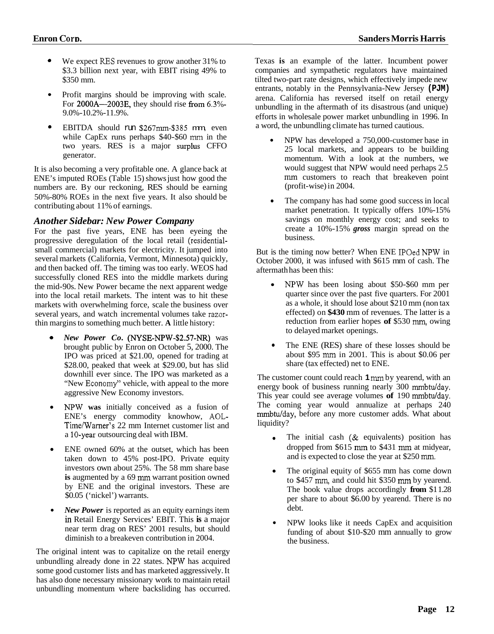- <span id="page-11-0"></span>*<sup>0</sup>*We expect **RES** revenues to grow another 31% to \$3.3 billion next year, with EBIT rising 49% to \$350 mm.
- Profit margins should be improving with scale. For  $2000A - 2003E$ , they should rise from  $6.3\%$ -9.0%-10.2%-11.9%.
- EBITDA should run \$267mm-\$385 mm, even while CapEx runs perhaps \$40-\$60 mm in the two years. RES is a major surplus CFFO generator. *0*

It is also becoming a very profitable one. A glance back at ENE's imputed ROEs (Table 15) shows just how good the numbers are. By our reckoning, RES should be earning 50%-80% ROEs in the next five years. It also should be contributing about 11% of earnings.

### *Another Sidebar: New Power Company*

For the past five years, ENE has been eyeing the progressive deregulation of the local retail (residentialsmall commercial) markets for electricity. It jumped into several markets (California, Vermont, Minnesota) quickly, and then backed off. The timing was too early. WEOS had successfully cloned RES into the middle markets during the mid-90s. New Power became the next apparent wedge into the local retail markets. The intent was to hit these markets with overwhelming force, scale the business over several years, and watch incremental volumes take razorthin margins to something much better. **A** little history:

- *New Power Co.* (NYSE-NPW-\$2.57-NR) was brought public by Enron on October 5, 2000. The IPO was priced at \$21.00, opened for trading at \$28.00, peaked that week at \$29.00, but has slid downhill ever since. The IPO was marketed as a "New Economy" vehicle, with appeal to the more aggressive New Economy investors.
- NF'W **was** initially conceived as a fusion of ENE's energy commodity knowhow, **AOL-**Time/Warner's 22 mm Internet customer list and a 10-year outsourcing deal with IBM.
- ENE owned 60% at the outset, which has been taken down to 45% post-IPO. Private equity investors own about 25%. The 58 mm share base **is** augmented by a 69 mm warrant position owned by ENE and the original investors. These are \$0.05 ('nickel') warrants.
- *New Power* is reported as an equity earnings item **in** Retail Energy Services' EBIT. This **is** a major near term drag on RES' 2001 results, but should diminish to a breakeven contribution in 2004.

The original intent was to capitalize on the retail energy unbundling already done in 22 states. NPW has acquired some good customer lists and has marketed aggressively. It has also done necessary missionary work to maintain retail unbundling momentum where backsliding has occurred. Texas **is** an example of the latter. Incumbent power companies and sympathetic regulators have maintained tilted two-part rate designs, which effectively impede new entrants, notably in the Pennsylvania-New Jersey **(PJM)**  arena. California has reversed itself on retail energy unbundling in the aftermath of its disastrous (and unique) efforts in wholesale power market unbundling in 1996. In a word, the unbundling climate has turned cautious.

- $\bullet$ NPW has developed a 750,000-customer base in 25 local markets, and appears to be building momentum. With a look at the numbers, we would suggest that NPW would need perhaps 2.5 mm customers to reach that breakeven point (profit-wise) in 2004.
- The company has had some good success in local market penetration. It typically offers 10%-15% savings on monthly energy cost; and seeks to create a 10%-15% *gross* margin spread on the business.

But is the timing now better? When ENE IPOed NPW in October 2000, it was infused with \$615 mm of cash. The aftermath has been this:

- NPW has been losing about \$50-\$60 mm per quarter since over the past five quarters. For 2001 as a whole, it should lose about  $$210$  mm (non tax effected) on **\$430** mm of revenues. The latter is a reduction from earlier hopes **of** \$530 mm, owing to delayed market openings.
- The ENE (RES) share of these losses should be  $\bullet$ about \$95 mm in 2001. This is about \$0.06 per share (tax effected) net to ENE.

The customer count could reach **1** mm by yearend, with an energy book of business running nearly  $300$  mmbtu/day. This year could see average volumes of 190 mmbtu/day. The coming year would annualize at perhaps 240 mmbtulday, before any more customer adds. What about liquidity?

- The initial cash (& equivalents) position has  $\bullet$ dropped from \$615 mm to \$431 mm at midyear, and is expected to close the year at \$250 mm.
- The original equity of \$655 mm has come down to \$457 mm, and could hit \$350 mm by yearend. The book value drops accordingly **from** \$1 1.28 per share to about \$6.00 by yearend. There is no debt.
- $\bullet$ NPW looks like it needs CapEx and acquisition funding of about \$10-\$20 mm annually to grow the business.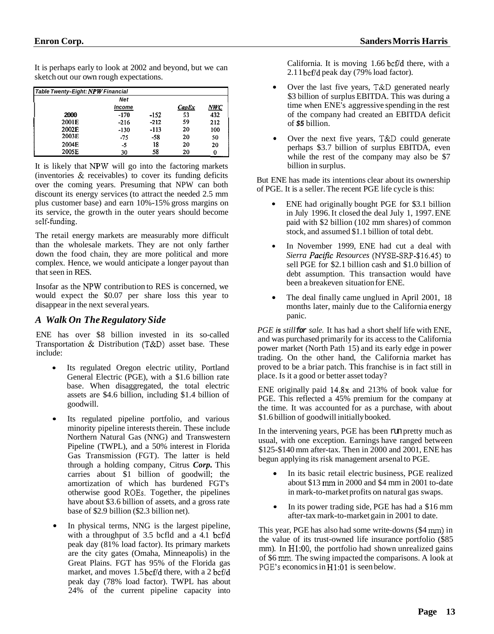It is perhaps early to look at 2002 and beyond, but we can sketch out our own rough expectations.

| Table Twenty-Eight: NPW Financial |        |        |       |            |
|-----------------------------------|--------|--------|-------|------------|
|                                   | Net    |        |       |            |
|                                   | Income |        | CapEx | <u>NWC</u> |
| 2000                              | $-170$ | $-152$ | 53    | 432        |
| 2001E                             | $-216$ | $-212$ | 59    | 212        |
| 2002E                             | $-130$ | $-113$ | 20    | 100        |
| 2003E                             | $-75$  | -58    | 20    | 50         |
| 2004E                             | -5     | 18     | 20    | 20         |
| 2005E                             | 30     | 58     | 20    |            |

It is likely that NPW will go into the factoring markets (inventories & receivables) to cover its funding deficits over the coming years. Presuming that NPW can both discount its energy services (to attract the needed 2.5 mm plus customer base) and earn 10%-15% gross margins on its service, the growth in the outer years should become self-funding.

The retail energy markets are measurably more difficult than the wholesale markets. They are not only farther down the food chain, they are more political and more complex. Hence, we would anticipate a longer payout than that seen in RES.

Insofar as the NPW contribution to RES is concerned, we would expect the \$0.07 per share loss this year to disappear in the next several years.

### *A Walk On The Regulatory Side*

ENE has over \$8 billion invested in its so-called Transportation & Distribution (T&D) asset base. These include:

- Its regulated Oregon electric utility, Portland General Electric (PGE), with a \$1.6 billion rate base. When disaggregated, the total electric assets are \$4.6 billion, including \$1.4 billion of goodwill.
- Its regulated pipeline portfolio, and various minority pipeline interests therein. These include Northern Natural Gas (NNG) and Transwestern Pipeline (TWPL), and a 50% interest in Florida Gas Transmission (FGT). The latter is held through a holding company, Citrus *Corp.* This carries about \$1 billion of goodwill; the amortization of which has burdened FGT's otherwise good ROES. Together, the pipelines have about \$3.6 billion of assets, and a gross rate base of \$2.9 billion (\$2.3 billion net).
- In physical terms, NNG is the largest pipeline, with a throughput of  $3.5$  bcfld and a  $4.1$  bcf/d peak day (81% load factor). Its primary markets are the city gates (Omaha, Minneapolis) in the Great Plains. FGT has 95% of the Florida gas market, and moves  $1.5$  bcf/d there, with a 2 bcf/d peak day (78% load factor). TWPL has about 24% of the current pipeline capacity into

California. It is moving  $1.66$  bcf/d there, with a  $2.11$  bcf/d peak day (79% load factor).

- Over the last five years, T&D generated nearly  $\bullet$ \$3 billion of surplus EBITDA. This was during a time when ENE's aggressive spending in the rest of the company had created an EBITDA deficit of *\$5* billion.
- Over the next five years, T&D could generate  $\bullet$ perhaps \$3.7 billion of surplus EBITDA, even while the rest of the company may also be \$7 billion in surplus.

But ENE has made its intentions clear about its ownership of PGE. It is a seller. The recent PGE life cycle is this:

- ENE had originally bought PGE for \$3.1 billion in July 1996. It closed the deal July 1, 1997. ENE paid with \$2 billion (102 mm shares) of common stock, and assumed \$1.1 billion of total debt.
- In November 1999, ENE had cut a deal with *Sierra Pacific Resources* (NYSE-SRP-\$l6.45) to sell PGE for \$2.1 billion cash and \$1.0 billion of debt assumption. This transaction would have been a breakeven situation for ENE.
- The deal finally came unglued in April 2001, 18 months later, mainly due to the California energy panic.

*PGE is still for sale.* It has had a short shelf life with ENE, and was purchased primarily for its access to the California power market (North Path 15) and its early edge in power trading. On the other hand, the California market has proved to be a briar patch. This franchise is in fact still in place. Is it a good or better asset today?

ENE originally paid 14.8x and 213% of book value for PGE. This reflected a 45% premium for the company at the time. It was accounted for as a purchase, with about \$1.6 billion of goodwill initially booked.

In the intervening years, PGE has been run pretty much as usual, with one exception. Earnings have ranged between \$125-\$140 mm after-tax. Then in 2000 and 2001, ENE has begun applying its risk management arsenal to PGE.

- $\bullet$ In its basic retail electric business, PGE realized about \$13 rnm in 2000 and \$4 mm in 2001 to-date in mark-to-market profits on natural gas swaps.
- In its power trading side, PGE has had a \$16 mm  $\bullet$ after-tax mark-to-market gain in 2001 to date.

This year, PGE has also had some write-downs (\$4 mm) in the value of its trust-owned life insurance portfolio (\$85 mm). In H1:00, the portfolio had shown unrealized gains of \$6 mm. The swing impacted the comparisons. A look at PGE's economics in  $H1:01$  is seen below.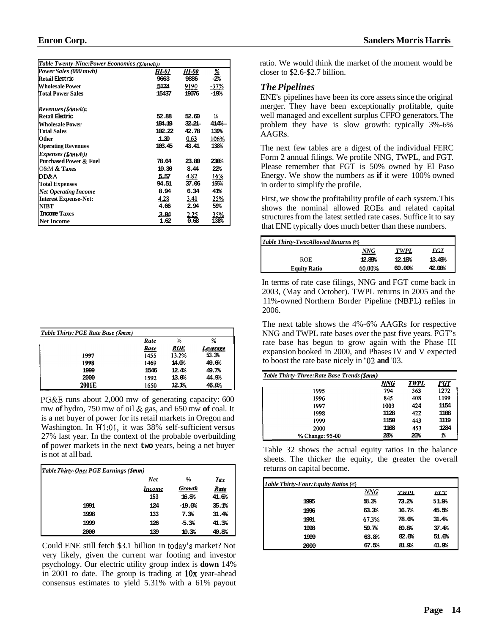<span id="page-13-0"></span>

| ыш он согрт                                 |              |       |            |
|---------------------------------------------|--------------|-------|------------|
|                                             |              |       |            |
| Table Twenty-Nine:Power Economics (\$/mwh): |              |       |            |
| Power Sales (000 mwh)                       | <b>HI-01</b> | HI-00 | 丝          |
| Retail Electric                             | 9663         | 9886  | $-2%$      |
| <b>Wholesale Power</b>                      | 5174         | 9190  | $-37%$     |
| <b>Total Power Sales</b>                    | 15437        | 19076 | $-19%$     |
| Revenues (\$/mwh):                          |              |       |            |
| Retail Electric                             | 52.88        | 52.60 | 1%         |
| <b>Wholesale Power</b>                      | 184.19       | 32.21 | 414%       |
| <b>Total Sales</b>                          | 102.22       | 42.78 | 139%       |
| Other                                       | 1.30         | 0.63  | 106%       |
| <b>Operating Revenues</b>                   | 103.45       | 43.41 | 138%       |
| Expenses (\$/mwh):                          |              |       |            |
| <b>Purchased Power &amp; Fuel</b>           | 78.64        | 23.80 | 230%       |
| O&M & Taxes                                 | 10.30        | 8.44  | 22%        |
| DD&A                                        | 5.57         | 4.82  | 16%        |
| <b>Total Expenses</b>                       | 94.51        | 37.06 | 155%       |
| <b>Net Operating Income</b>                 | 8.94         | 6.34  | 41%        |
| <b>Interest Expense-Net:</b>                | 4.28         | 3.41  | 25%        |
| <b>NIBT</b>                                 | 4.66         | 2.94  | 59%        |
| <b>Income Taxes</b>                         | 3.04         | 2.25  | <u>35%</u> |
| <b>Net Income</b>                           | 1.62         | 0.68  | 138%       |

| <b>Table Thirty: PGE Rate Base (\$mm)</b> |             |       |          |
|-------------------------------------------|-------------|-------|----------|
|                                           | Rate        | %     | ℅        |
|                                           | <b>Base</b> | ROE   | Leverage |
| 1997                                      | 1455        | 13.2% | 53.3%    |
| 1998                                      | 1469        | 14.0% | 49.6%    |
| 1999                                      | 1546        | 12.4% | 49.7%    |
| 2000                                      | 1592        | 13.0% | 44.9%    |
| 2001E                                     | 1650        | 12.1% | 46.0%    |

PG&E runs about 2,000 mw of generating capacity: 600 mw **of** hydro, 750 mw of oil & gas, and 650 mw **of** coal. It is a net buyer of power for its retail markets in Oregon and Washington. In H1:01, it was 38% self-sufficient versus 27% last year. In the context of the probable overbuilding **of** power markets in the next **two** years, being a net buyer is not at all bad.

| Table Thirty-One: PGE Earnings (\$mm) |               |          |             |
|---------------------------------------|---------------|----------|-------------|
|                                       | <b>Net</b>    | %        | Tax         |
|                                       | <i>Income</i> | Growth   | <b>Rate</b> |
|                                       | 153           | 16.8%    | 41.6%       |
| 1991                                  | 124           | $-19.0%$ | 35.1%       |
| 1998                                  | 133           | 7.3%     | 31.4%       |
| 1999                                  | 126           | $-5.3%$  | 41.3%       |
| 2000                                  | 139           | 10.3%    | 40.8%       |

Could ENE still fetch \$3.1 billion in today's market? Not very likely, given the current war footing and investor psychology. Our electric utility group index is **down** 14% in 2001 to date. The group is trading at **lox** year-ahead consensus estimates to yield 5.31% with a 61% payout ratio. We would think the market of the moment would be closer to \$2.6-\$2.7 billion.

### *The Pipelines*

ENE's pipelines have been its core assets since the original merger. They have been exceptionally profitable, quite well managed and excellent surplus CFFO generators. The problem they have is slow growth: typically 3%-6% AAGRs.

The next few tables are a digest of the individual FERC Form 2 annual filings. We profile NNG, TWPL, and FGT. Please remember that FGT is 50% owned by El Paso Energy. We show the numbers as **if** it were 100% owned in order to simplify the profile.

First, we show the profitability profile of each system. This structures from the latest settled rate cases. Suffice it to say that ENE typically does much better than these numbers.

| shows the nominal allowed ROEs and related capital<br>structures from the latest settled rate cases. Suffice it to say |            |             |            |  |  |
|------------------------------------------------------------------------------------------------------------------------|------------|-------------|------------|--|--|
| that ENE typically does much better than these numbers.                                                                |            |             |            |  |  |
| Table Thirty-Two:Allowed Returns (%)                                                                                   |            |             |            |  |  |
|                                                                                                                        | <b>NNG</b> | <b>TWPL</b> | <b>FGT</b> |  |  |
| <b>ROE</b>                                                                                                             | 12.89%     | 12.18%      | 13.49%     |  |  |
| <b>Equity Ratio</b>                                                                                                    | 60.00%     | 60.00%      | 42.00%     |  |  |

In terms of rate case filings, NNG and FGT come back in 2003, (May and October). TWPL returns in 2005 and the 1 1%-owned Northern Border Pipeline (NBPL) refiles in 2006.

The next table shows the 4%-6% AAGRs for respective NNG and TWPL rate bases over the past five years. FGT's rate base has begun to grow again with the Phase I11 expansion booked in 2000, and Phases IV and V expected to boost the rate base nicely in '02 **and** '03.

| Table Thirty-Three: Rate Base Trends (\$mm) |      |             |            |
|---------------------------------------------|------|-------------|------------|
|                                             | NNG  | <b>TWPL</b> | <u>FGT</u> |
| 1995                                        | 794  | 363         | 1272       |
| 1996                                        | 845  | 408         | 1199       |
| 1997                                        | 1003 | 424         | 1154       |
| 1998                                        | 1128 | 422         | 1108       |
| 1999                                        | 1150 | 443         | 1119       |
| 2000                                        | 1108 | 453         | 1284       |
| % Change: 95-00                             | 28%  | 20%         | 1%         |

Table 32 shows the actual equity ratios in the balance sheets. The thicker the equity, the greater the overall returns on capital become.

| Table 32 shows the actual equity ratios in the balance<br>sheets. The thicker the equity, the greater the overall<br>returns on capital become. |       |             |            |  |  |
|-------------------------------------------------------------------------------------------------------------------------------------------------|-------|-------------|------------|--|--|
| Table Thirty-Four: Equity Ratios (%)                                                                                                            |       |             |            |  |  |
|                                                                                                                                                 | NNG   | <b>TWPL</b> | <b>FCT</b> |  |  |
| 1995                                                                                                                                            | 58.3% | 73.2%       | 51.96      |  |  |
| 1996                                                                                                                                            | 63.3% | 16.7%       | 45.5%      |  |  |
| 1991                                                                                                                                            | 67.3% | 78.6%       | 31.4%      |  |  |
| 1998                                                                                                                                            | 59.7% | 80.8%       | 37.4%      |  |  |
| 1999                                                                                                                                            | 63.8% | 82.6%       | 51.6%      |  |  |
| 2000                                                                                                                                            | 67.5% | 81.9%       | 41.9%      |  |  |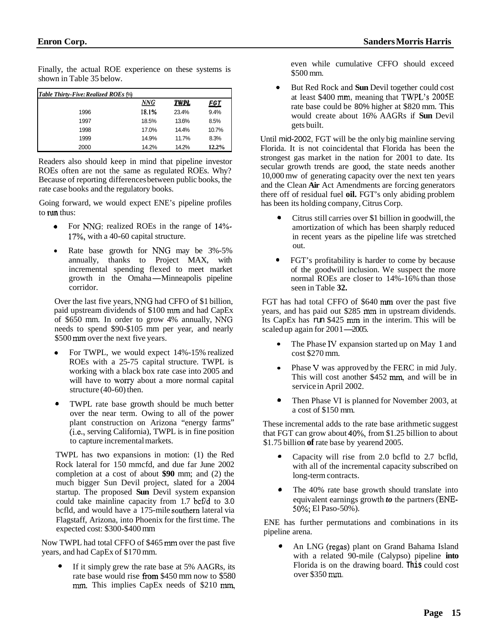Finally, the actual ROE experience on these systems is shown in Table 35 below.

| Thiany, the actual ROE experience on these systems is<br>shown in Table 35 below. |       |             |            |
|-----------------------------------------------------------------------------------|-------|-------------|------------|
| <b>Table Thirty-Five: Realized ROEs (%)</b>                                       |       |             |            |
|                                                                                   | NNG   | <b>TWPL</b> | <u>FGT</u> |
| 1996                                                                              | 18.1% | 23.4%       | 9.4%       |
| 1997                                                                              | 18.5% | 13.6%       | 8.5%       |
| 1998                                                                              | 17.0% | 14.4%       | 10.7%      |
| 1999                                                                              | 14.9% | 11.7%       | 8.3%       |
| 2000                                                                              | 14.2% | 14.2%       | 12.2%      |

Readers also should keep in mind that pipeline investor ROEs often are not the same as regulated ROEs. Why? Because of reporting differences between public books, the rate case books and the regulatory books.

Going forward, we would expect ENE's pipeline profiles to run thus:

- For NNG: realized ROEs in the range of 14%-17%, with a 40-60 capital structure.
- Rate base growth for IWG may be 3%-5% annually, thanks to Project MAX, with incremental spending flexed to meet market annually, thanks to Project MAX, with<br>incremental spending flexed to meet market<br>growth in the Omaha-Minneapolis pipeline corridor.

Over the last five years, **NNG** had CFFO of \$1 billion, paid upstream dividends of \$100 mm and had CapEx of \$650 mm. In order to grow 4% annually, NNG needs to spend \$90-\$105 mm per year, and nearly \$500 mm over the next five years.

- For TWPL, we would expect 14%-15% realized ROEs with a 25-75 capital structure. TWPL is working with a black box rate case into 2005 and will have to worry about a more normal capital structure (40-60) then.
- TWPL rate base growth should be much better over the near term. Owing to all of the power plant construction on Arizona "energy farms" (i.e., serving California), TWPL is in fine position to capture incremental markets. *0*

TWPL has two expansions in motion: (1) the Red Rock lateral for 150 mmcfd, and due far June 2002 completion at a cost of about **\$90** mm; and (2) the much bigger Sun Devil project, slated for a 2004 startup. The proposed **Sun** Devil system expansion could take mainline capacity from  $1.7$  bcf/d to  $3.0$ bcfld, and would have a 175-mile southem lateral via Flagstaff, Arizona, into Phoenix for the first time. The expected cost: \$300-\$400 mm

Now TWPL had total CFFO of \$465 mm over the past five years, and had CapEx of \$170 mm.

If it simply grew the rate base at 5% AAGRs, its rate base would rise from \$450 mm now to \$580 mm. This implies CapEx needs of \$210 mm, *0* 

even while cumulative CFFO should exceed \$500 mm.

But Red Rock and **Sun** Devil together could cost at least \$400 mm, meaning that TWPL's 2005E rate base could be 80% higher at \$820 mm. This would create about 16% AAGRs if **Sun** Devil gets built. *0* 

Until mid-2002, FGT will be the only big mainline serving Florida. It is not coincidental that Florida has been the strongest gas market in the nation for 2001 to date. Its secular growth trends are good, the state needs another 10,000 mw of generating capacity over the next ten years and the Clean **Air** Act Amendments are forcing generators there off of residual fuel **oil.** FGT's only abiding problem has been its holding company, Citrus Corp.

- Citrus still carries over \$1 billion in goodwill, the amortization of which has been sharply reduced in recent years as the pipeline life was stretched out. *0*
- FGT's profitability is harder to come by because of the goodwill inclusion. We suspect the more normal ROEs are closer to 14%-16% than those seen in [Table](#page-13-0) **32.**  *0*

FGT has had total CFFO of \$640 mm over the past five years, and has paid out \$285 mm in upstream dividends.<br>Its CapEx has run \$425 mm in the interim. This will be scaled up again for 2001—2005. Its CapEx has run \$425 mm in the interim. This will be

- The Phase **IV** expansion started up on May 1 and cost \$270 mm.
- Phase **V** was approved by the FERC in mid July. This will cost another \$452 mm, and will be in service in April 2002.
- Then Phase VI is planned for November 2003, at a cost of \$150 mm. *0*

These incremental adds to the rate base arithmetic suggest that FGT can grow about 40%, from \$1.25 billion to about \$1.75 billion **of** rate base by yearend 2005.

- Capacity will rise from 2.0 bcfld to 2.7 bcfld, with all of the incremental capacity subscribed on long-term contracts. *0*
- The 40% rate base growth should translate into equivalent earnings growth *to* the partners **(EM-***50%;* El Paso-50%). *0*

ENE has further permutations and combinations in its pipeline arena.

An LNG (regas) plant on Grand Bahama Island with a related 90-mile (Calypso) pipeline **into**  Florida is on the drawing board. **This** could cost over \$350 mm. *0*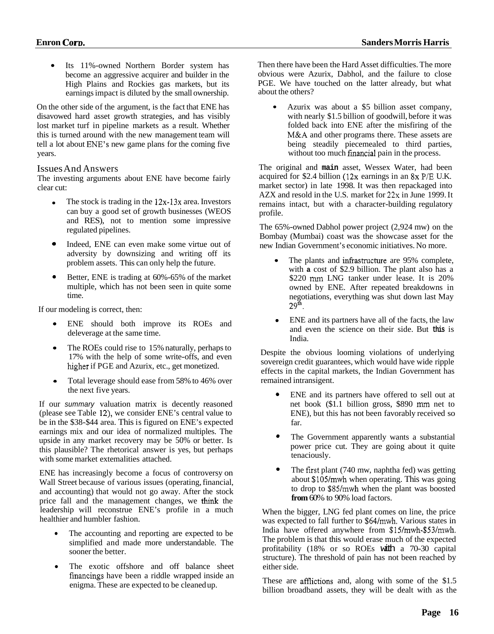<span id="page-15-0"></span>Its 11%-owned Northern Border system has become an aggressive acquirer and builder in the High Plains and Rockies gas markets, but its earnings impact is diluted by the small ownership.

On the other side of the argument, is the fact that ENE has disavowed hard asset growth strategies, and has visibly lost market turf in pipeline markets as a result. Whether this is turned around with the new management team will tell a lot about ENE's new game plans for the coming five years.

#### Issues And Answers

The investing arguments about ENE have become fairly clear cut:

- The stock is trading in the 12x-13x area. Investors can buy a good set of growth businesses (WEOS and RES), not to mention some impressive regulated pipelines.
- Indeed, ENE can even make some virtue out of adversity by downsizing and writing off its problem assets. This can only help the future. *0*
- Better, ENE is trading at 60%-65% of the market multiple, which has not been seen in quite some time. *0*

If our modeling is correct, then:

- ENE should both improve its ROEs and deleverage at the same time.
- The ROEs could rise to 15% naturally, perhaps to 17% with the help of some write-offs, and even higher if PGE and Azurix, etc., get monetized.
- Total leverage should ease from 58% to 46% over the next five years.

If our *summary* valuation matrix is decently reasoned (please see Table 12), we consider ENE's central value to be in the \$38-\$44 area. This is figured on ENE's expected earnings mix and our idea of normalized multiples. The upside in any market recovery may be 50% or better. Is this plausible? The rhetorical answer is yes, but perhaps with some market extemalities attached.

ENE has increasingly become a focus of controversy on Wall Street because of various issues (operating, financial, and accounting) that would not go away. After the stock price fall and the management changes, we think the leadership will reconstrue ENE's profile in a much healthier and humbler fashion.

- The accounting and reporting are expected to be simplified and made more understandable. The sooner the better.
- The exotic offshore and off balance sheet financings have been a riddle wrapped inside an enigma. These are expected to be cleaned up.

Then there have been the Hard Asset difficulties. The more obvious were Azurix, Dabhol, and the failure to close PGE. We have touched on the latter already, but what about the others?

Azurix was about a \$5 billion asset company,  $\bullet$ with nearly \$1.5 billion of goodwill, before it was folded back into ENE after the misfiring of the **M&A** and other programs there. These assets are being steadily piecemealed to third parties, without too much financial pain in the process.

The original and **main** asset, Wessex Water, had been acquired for \$2.4 billion (12x earnings in an 8x P/E U.K. market sector) in late 1998. It was then repackaged into AZX and resold in the U.S. market for 22x in June 1999. It remains intact, but with a character-building regulatory profile.

The 65%-owned Dabhol power project (2,924 mw) on the Bombay (Mumbai) coast was the showcase asset for the new Indian Government's economic initiatives. No more.

- The plants and infrastructure are 95% complete, with **a** cost of \$2.9 billion. The plant also has a \$220 mm LNG tanker under lease. It is 20% owned by ENE. After repeated breakdowns in negotiations, everything was shut down last May  $29^{\rm th}$ .
- ENE and its partners have all of the facts, the law  $\bullet$ and even the science on their side. But **this** is India.

Despite the obvious looming violations of underlying sovereign credit guarantees, which would have wide ripple effects in the capital markets, the Indian Government has remained intransigent.

- ENE and its partners have offered to sell out at net book (\$1.1 billion gross, \$890 mm net to ENE), but this has not been favorably received so far. *0*
- The Government apparently wants a substantial power price cut. They are going about it quite tenaciously. *0*
- The first plant  $(740 \text{ mw}, \text{naphtha fed})$  was getting about \$105/mwh when operating. This was going to drop to \$85/mwh when the plant was boosted **from** 60% to 90% load factors. *0*

When the bigger, LNG fed plant comes on line, the price was expected to fall further to \$64/mwh. Various states in India have offered anywhere from \$15/mwh-\$53/mwh. The problem is that this would erase much of the expected profitability (18% or so ROEs with a 70-30 capital structure). The threshold of pain has not been reached by either side.

These are afflictions and, along with some of the  $$1.5$ billion broadband assets, they will be dealt with as the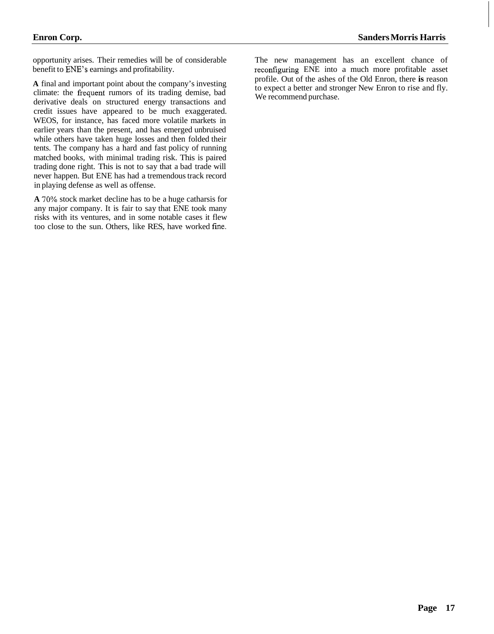<span id="page-16-0"></span>opportunity arises. Their remedies will be of considerable The new management has an excellent chance of benefit to ENE's earnings and profitability.

A final and important point about the company's investing<br>to expect a better and stronger New Enron to rise and fly. climate: the frequent rumors of its trading demise, bad We recommend purchase. derivative deals on structured energy transactions and credit issues have appeared to be much exaggerated. WEOS, for instance, has faced more volatile markets in earlier years than the present, and has emerged unbruised while others have taken huge losses and then folded their tents. The company has a hard and fast policy of running matched books, with minimal trading risk. This is paired trading done right. This is not to say that a bad trade will never happen. But ENE has had a tremendous track record in playing defense as well as offense.

**A** *70%* stock market decline has to be a huge catharsis for any major company. It is fair to say that ENE took many risks with its ventures, and in some notable cases it flew too close to the sun. Others, like RES, have worked fine.

reconfiguring ENE into a much more profitable asset profile. Out of the ashes of the Old Enron, there **is** reason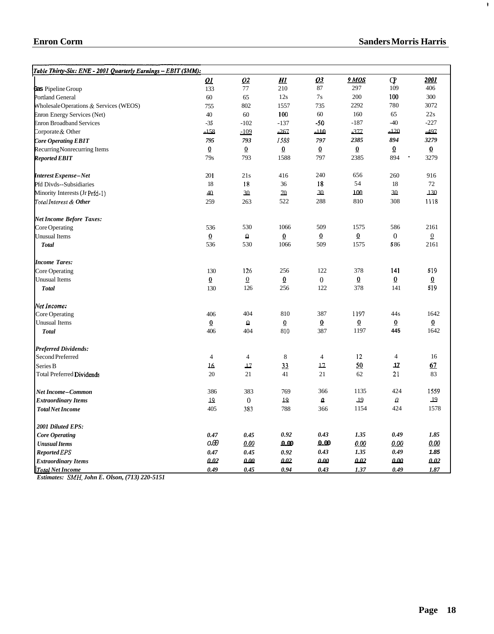$\tilde{\mathbf{r}}$ 

<span id="page-17-0"></span>

| Table Thirty-Six: ENE - 2001 Quarterly Earnings - EBIT (\$MM): |                 |                  |                 |                  |                 |                                 |                 |
|----------------------------------------------------------------|-----------------|------------------|-----------------|------------------|-----------------|---------------------------------|-----------------|
|                                                                | <u>01</u>       | Q2               | <u>Н1</u>       | <u>03</u>        | 9 MOS           | $\mathbf{Q}$                    | <u> 2001 </u>   |
| Ges Pipeline Group                                             | 133             | 77               | 210             | 87               | 297             | 109                             | 406             |
| Portland General                                               | $60\,$          | 65               | 12s             | 7s               | 200             | 100                             | 300             |
| Wholesale Operations & Services (WEOS)                         | 755             | 802              | 1557            | 735              | 2292            | 780                             | 3072            |
| <b>Enron Energy Services (Net)</b>                             | 40              | 60               | 100             | 60               | 160             | 65                              | 22s             |
| <b>Enron Broadband Services</b>                                | $-35$           | $-102$           | $-137$          | $-50$            | $-187$          | $-40$                           | $-227$          |
| Corporate & Other                                              | $-158$          | $-109$           | $-267$          | $-110$           | $-377$          | $-120$                          | $-497$          |
| <b>Core Operating EBIT</b>                                     | 795             | 793              | 1588            | 797              | 2385            | 894                             | 3279            |
| Recurring Nonrecurring Items                                   | $\overline{0}$  | $\overline{0}$   | $\overline{0}$  | $\overline{0}$   | $\overline{0}$  | $\overline{0}$                  | $\overline{0}$  |
| <b>Reported EBIT</b>                                           | 79s             | 793              | 1588            | 797              | 2385            | 894<br>$\overline{\phantom{a}}$ | 3279            |
| Interest Expense-Net                                           | 201             | 21s              | 416             | 240              | 656             | 260                             | 916             |
| Pfd Divds--Subsidiaries                                        | 18              | 18               | 36              | 18               | 54              | 18                              | 72              |
| Minority Interests (Jr Prfd-1)                                 | 40              | 30               | 70              | 30               | 100             | 30                              | 130             |
| Total Interest & Other                                         | 259             | 263              | 522             | 288              | 810             | 308                             | 1118            |
| <b>Net Income Before Taxes:</b>                                |                 |                  |                 |                  |                 |                                 |                 |
| Core Operating                                                 | 536             | 530              | 1066            | 509              | 1575            | 586                             | 2161            |
| <b>Unusual Items</b>                                           | $\underline{0}$ | $\pmb{\Omega}$   | $\underline{0}$ | $\overline{0}$   | $\overline{0}$  | $\boldsymbol{0}$                | $\underline{0}$ |
| <b>Total</b>                                                   | 536             | 530              | 1066            | 509              | 1575            | 586                             | 2161            |
| <b>Income Tares:</b>                                           |                 |                  |                 |                  |                 |                                 |                 |
| Core Operating                                                 | 130             | 126              | 256             | 122              | 378             | 141                             | 519             |
| <b>Unusual Items</b>                                           | $\overline{0}$  | $\Omega$         | $\underline{0}$ | $\boldsymbol{0}$ | 0               | $\underline{0}$                 | $\overline{0}$  |
| <b>Total</b>                                                   | 130             | 126              | 256             | 122              | 378             | 141                             | 519             |
| Net Income:                                                    |                 |                  |                 |                  |                 |                                 |                 |
| Core Operating                                                 | 406             | 404              | 810             | 387              | 1197            | 44s                             | 1642            |
| <b>Unusual Items</b>                                           | $\overline{0}$  | $\Omega$         | $\underline{0}$ | $\pmb{0}$        | $\overline{0}$  | $\overline{0}$                  | $\underline{0}$ |
| <b>Total</b>                                                   | 406             | 404              | 810             | 387              | 1197            | 445                             | 1642            |
| <b>Preferred Dividends:</b>                                    |                 |                  |                 |                  |                 |                                 |                 |
| Second Preferred                                               | $\overline{4}$  | $\overline{4}$   | $\,8\,$         | $\overline{4}$   | 12              | $\overline{\mathcal{L}}$        | 16              |
| Series B                                                       | 16.             | 17               | 33              | 12               | 50              | 17                              | 67              |
| <b>Total Preferred Dividends</b>                               | 20              | 21               | 41              | 21               | 62              | 21                              | 83              |
| Net Income–Common                                              | 386             | 383              | 769             | 366              | 1135            | 424                             | 1559            |
| <b>Extraordinary Items</b>                                     | 19              | $\boldsymbol{0}$ | $19\,$          | Δ                | $\overline{19}$ | $\varrho$                       | 19              |
| <b>Total Net Income</b>                                        | 405             | 383              | 788             | 366              | 1154            | 424                             | 1578            |
| 2001 Diluted EPS:                                              |                 |                  |                 |                  |                 |                                 |                 |
| <b>Core Operating</b>                                          | 0.47            | 0.45             | 0.92            | 0.43             | 1.35            | 0.49                            | 1.85            |
| <b>Unusual Items</b>                                           | O.00            | 0.00             | 0.00            | 0.00             | <u>0.00</u>     | 0.00                            | 0.00            |
| Reported EPS                                                   | 0.47            | 0.45             | 0.92            | 0.43             | 1.35            | 0.49                            | 1.85            |
| <b>Extraordinary Items</b>                                     | 0.02            | 0.00             | 002             | 0.00             | 0.02            | 0.00                            | 0.02            |
| Total Net Income                                               | 0.49            | 0.45             | 0.94            | 0.43             | 1.37            | 0.49                            | 1.87            |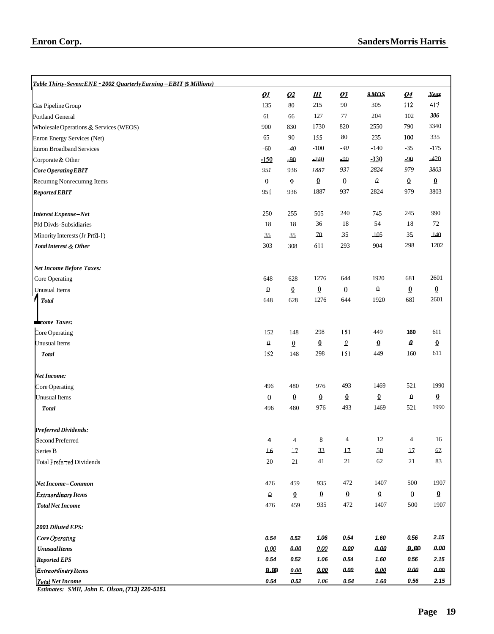<span id="page-18-0"></span>

| Table Thirty-Seven: ENE - 2002 Quarterly Earning - EBIT $$$ Millions) |                   |                 |                 |                          |                 |                     |                 |
|-----------------------------------------------------------------------|-------------------|-----------------|-----------------|--------------------------|-----------------|---------------------|-----------------|
|                                                                       | $\mathbf{Q}$      | Q2              | <b>H1</b>       | $\mathbf{Q}$             | 9MOS            | Q <sub>4</sub>      | Year            |
| Gas Pipeline Group                                                    | 135               | $80\,$          | 215             | 90                       | 305             | 112                 | 417             |
| Portland General                                                      | 61                | 66              | 127             | 77                       | 204             | 102                 | 306             |
| Wholesale Operations & Services (WEOS)                                | 900               | 830             | 1730            | 820                      | 2550            | 790                 | 3340            |
| Enron Energy Services (Net)                                           | 65                | 90              | 155             | 80                       | 235             | 100                 | 335             |
| <b>Enron Broadband Services</b>                                       | $-60$             | $-40$           | $-100$          | $-40$                    | $-140$          | $-35$               | $-175$          |
| Corporate & Other                                                     | $-150$            | $-90$           | $-240$          | $-90$                    | $-330$          | $-90$               | $-420$          |
| Core Operating EBIT                                                   | 951               | 936             | 1887            | 937                      | 2824            | 979                 | 3803            |
| Recumng Nonrecumng Items                                              | $\underline{0}$   | $\underline{0}$ | $\underline{0}$ | $\boldsymbol{0}$         | $\mathcal Q$    | $\underline{0}$     | $\underline{0}$ |
| <b>Reported EBIT</b>                                                  | 951               | 936             | 1887            | 937                      | 2824            | 979                 | 3803            |
| Interest Expense-Net                                                  | 250               | 255             | 505             | 240                      | 745             | 245                 | 990             |
| Pfd Divds-Subsidiaries                                                | 18                | 18              | 36              | 18                       | 54              | 18                  | 72              |
| Minority Interests (Jr Prfd-1)                                        | $35\,$            | $35\,$          | $70\,$          | 35                       | 105             | $35\,$              | 140             |
| Total Interest & Other                                                | 303               | 308             | 611             | 293                      | 904             | 298                 | 1202            |
| <b>Net Income Before Taxes:</b>                                       |                   |                 |                 |                          |                 |                     |                 |
| Core Operating                                                        | 648               | 628             | 1276            | 644                      | 1920            | 681                 | 2601            |
| <b>Unusual Items</b>                                                  | $\pmb{\Omega}$    | 0               | $\underline{0}$ | $\boldsymbol{0}$         | $\pmb{\Omega}$  | $\underline{0}$     | $\overline{0}$  |
| <b>Total</b>                                                          | 648               | 628             | 1276            | 644                      | 1920            | 681                 | 2601            |
| <b>kcome Taxes:</b>                                                   |                   |                 |                 |                          |                 |                     |                 |
| Core Operating                                                        | 152               | 148             | 298             | 151                      | 449             | 160                 | 611             |
| Unusual Items                                                         | $\pmb{\varOmega}$ | $\overline{0}$  | $\underline{0}$ | $\underline{\mathbf{0}}$ | $\underline{0}$ | $\pmb{\mathcal{Q}}$ | $\overline{0}$  |
| <b>Total</b>                                                          | 152               | 148             | 298             | 151                      | 449             | 160                 | 611             |
| <b>Net Income:</b>                                                    |                   |                 |                 |                          |                 |                     |                 |
| Core Operating                                                        | 496               | 480             | 976             | 493                      | 1469            | 521                 | 1990            |
| <b>Unusual Items</b>                                                  | $\boldsymbol{0}$  | $\overline{0}$  | $\overline{0}$  | $\overline{0}$           | $\overline{0}$  | $\Omega$            | $\overline{0}$  |
| <b>Total</b>                                                          | 496               | 480             | 976             | 493                      | 1469            | 521                 | 1990            |
| Preferred Dividends:                                                  |                   |                 |                 |                          |                 |                     |                 |
| Second Preferred                                                      | 4                 | 4               | 8               | $\overline{4}$           | 12              | 4                   | 16              |
| Series B                                                              | 16                | $12\,$          | 33              | 12                       | 50              | $\perp$             | 67              |
| <b>Total Preferred Dividends</b>                                      | 20                | 21              | 41              | 21                       | 62              | 21                  | 83              |
| Net Income-Common                                                     | 476               | 459             | 935             | 472                      | 1407            | 500                 | 1907            |
| <b>Extraordinary Items</b>                                            | $\pmb{\Omega}$    | $\underline{0}$ | $\underline{0}$ | $\underline{0}$          | $\underline{0}$ | $\overline{0}$      | $\underline{0}$ |
| <b>Total Net Income</b>                                               | 476               | 459             | 935             | 472                      | 1407            | 500                 | 1907            |
| 2001 Diluted EPS:                                                     |                   |                 |                 |                          |                 |                     |                 |
| Core Operating                                                        | 0.54              | 0.52            | 1.06            | 0.54                     | 1.60            | 0.56                | 2.15            |
| <b>Unusual Items</b>                                                  | 0.00              | 0.00            | 0.00            | 0.00                     | 0.00            | 0.00                | 0.00            |
| <b>Reported EPS</b>                                                   | 0.54              | 0.52            | 1.06            | 0.54                     | 1.60            | 0.56                | 2.15            |
| <b>Extraordinary Items</b>                                            | 0.00              | 0.00            | 0.00            | ممم                      | 0.00            | $\bm{a}\bm{a}$      | 0.00            |
| <b>Total Net Income</b>                                               | 0.54              | 0.52            | 1.06            | 0.54                     | 1.60            | 0.56                | 2.15            |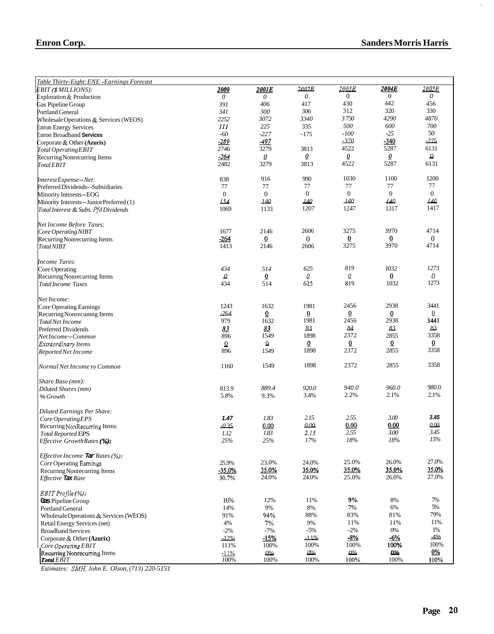$\hat{\tau}$ 

<span id="page-19-0"></span>

| Enron Corp.                                                            |               |                |                |                   | Sangers Morris Harris |                |
|------------------------------------------------------------------------|---------------|----------------|----------------|-------------------|-----------------------|----------------|
|                                                                        |               |                |                |                   |                       |                |
|                                                                        |               |                |                |                   |                       |                |
| Table Thirty-Eight: ENE -Earnings Forecast<br><b>EBIT (SMILLIONS):</b> | 2000          | 2001E          | 2002E          | 2003E             | 2004E                 | 2005E          |
| Exploration & Production                                               | $\theta$      | 0              | 0              | $\Omega$          | $\theta$              | 0              |
| Gas Pipeline Group                                                     | 391           | 406            | 417            | 430               | 442                   | 456            |
| Portland General                                                       | 341           | 300            | 306            | 312               | 320                   | 330            |
| Wholesale Operations & Services (WEOS)                                 | 2252          | 3072           | 3340           | 3750              | 4290                  | 4870           |
| <b>Enron Energy Services</b>                                           | Ш             | 225            | 335            | 500               | 600                   | 700            |
| Enron Broadband Services                                               | $-60$         | $-227$         | $-175$         | $-100$            | $-25$                 | 50             |
| Corporate & Other (Azurix)                                             | $-289$        | -497           |                | $-370$            | -340                  | $-275$         |
| Total Operating EBIT                                                   | 2746          | 3279           | 3813           | 4522              | 5287                  | 6131           |
| Recurring Nonrecurring Items                                           | $-264$        | 0              | 0              | $\mathbf{\Omega}$ | 0                     | $\Omega$       |
| Total EBIT                                                             | 2482          | 3279           | 3813           | 4522              | 5287                  | 6131           |
| Interest Expense – Net:                                                | 838           | 916            | 990            | 1030              | 1100                  | 1200           |
| Preferred Dividends--Subsidiaries                                      | 77            | 77             | 77             | 77                | 77                    | 77             |
| Minority Interests-EOG                                                 | $\theta$      | $\mathbf{0}$   | $\overline{0}$ | $\mathbf{0}$      | $\mathbf{0}$          | $\overline{0}$ |
| Minority Interests-JuniorPreferred (1)                                 | 154           | 140            | <u>140</u>     | <b>140</b>        | <u>140</u>            | <u> 140</u>    |
| Total Interest & Subs. Pfd Dividends                                   | 1069          | 1133           | 1207           | 1247              | 1317                  | 1417           |
| Net Income Before Taxes:                                               |               |                |                |                   |                       |                |
| Core Operating NIBT                                                    | 1677          | 2146           | 2606           | 3275              | 3970                  | 4714           |
| Recurring Nonrecurring Items                                           | $-264$        | $\overline{0}$ | $\Omega$       | $\overline{0}$    | $\overline{0}$        | 0              |
| Total NIBT                                                             | 1413          | 2146           | 2606           | 3275              | 3970                  | 4714           |
| <b>Income Tares:</b>                                                   |               |                |                |                   |                       |                |
| Core Operating                                                         | 434           | 514            | 625            | 819               | 1032                  | 1273           |
| Recurring Nonrecurring Items                                           | $\mathcal{Q}$ | $\overline{0}$ | $\mathcal{Q}$  | $\mathcal{Q}$     | $\overline{0}$        | 0              |
| <b>Total Income Taxes</b>                                              | 434           | 514            | 625            | 819               | 1032                  | 1273           |
| Net Income:                                                            |               |                |                |                   |                       |                |
| Core Operating Earnings                                                | 1243          | 1632           | 1981           | 2456              | 2938                  | 3441           |
| Recurring Nonrecumng Items                                             | $-264$        | 0              | $\overline{0}$ | $\overline{0}$    | $\overline{0}$        | $\overline{0}$ |
| <b>Total Net Income</b>                                                | 979           | 1632           | 1981           | 2456              | 2938                  | 3441           |
| Preferred Dividends                                                    | 83            | 83             | 83             | 84                | 83                    | 83             |
| Net Income - Common                                                    | 896           | 1549           | 1898           | 2372              | 2855                  | 3358           |
| <b>Extraordinary Items</b>                                             | $\Omega$      | Ω              | $\overline{0}$ | $\overline{0}$    | $\overline{0}$        | ō              |
| <b>Reported Net Income</b>                                             | 896           | 1549           | 1898           | 2372              | 2855                  | 3358           |
| Normal Net Income to Common                                            | 1160          | 1549           | 1898           | 2372              | 2855                  | 3358           |
| Share Base (mm):                                                       |               |                |                |                   |                       |                |
| Diluted Shares (mm)                                                    | 813.9         | 889.4          | 920.0          | 940.0             | 960.0                 | 980.0          |
| % Growth                                                               | 5.8%          | 9.3%           | 3.4%           | 2.2%              | 2.1%                  | 2.1%           |
| <b>Diluted Earnings Per Share:</b>                                     |               |                |                |                   |                       |                |
| Core Operating EPS                                                     | 1.47          | 1.83           | 2.15           | 2.55              | 3.00                  | 3.45           |
| Recurring NonRecurring Items                                           | $-0.35$       | 0.00           | 0.00           | 0.00              | 0.00                  | 0.00           |
| <b>Total Reported EPS</b>                                              | 1.12          | 1.83           | 2.15           | 2.55              | 3.00                  | 3.45           |
| <i>Effective Growth Rates</i> $(\%)$ :                                 | $25\%$        | 25%            | 17%            | 18%               | 18%                   | 15%            |
| Effective Income Tar Rates (%):                                        |               |                |                |                   |                       |                |
| Core Operating Earnings                                                | 25.9%         | 23.0%          | 24.0%          | 25.0%             | 26.0%                 | 27.0%          |
| Recurring Nonrecurring Items                                           | $-35.0%$      | 35.0%          | 35.0%          | 35.0%             | 35.0%                 | 35.0%          |
| Effective Tax Rate                                                     | 30.7%         | 24.0%          | 24.0%          | 25.0%             | 26.0%                 | 27.0%          |
| EBIT Profile (%):                                                      |               |                |                |                   |                       |                |
| Gas Pipeline Group                                                     | 16%           | 12%            | 11%            | 9%                | $8\%$                 | 7%             |
| Portland General                                                       | 14%           | 9%             | 8%             | 7%                | 6%                    | 5%             |
| Wholesale Operations & Services (WEOS)                                 | 91%           | 94%            | 88%            | 83%               | 81%                   | 79%            |
| Retail Energy Services (net)                                           | 4%            | 7%             | 9%             | 11%               | 11%                   | 11%            |
| <b>Broadband Services</b>                                              | $-2%$         | $-7%$          | $-5%$          | $-2\%$            | 0%                    | 1%             |
| Corporate & Other $(Azurix)$                                           | $-12%$        | -15%           | $-11%$         | $-8%$             | $-6\%$                | $-4%$          |
| Core Operating EBIT                                                    | 111%          | 100%           | 100%           | 100%              | 100%                  | 100%           |
| Recurring Nonrecurring Items                                           | $-11%$        | $0\%$          | $0\%$          | $0\%$             | <u>Ω%</u>             | $0\%$          |
| Total <b>EBIT</b>                                                      | 100%          | 100%           | 100%           | 100%              | 100%                  | 100%           |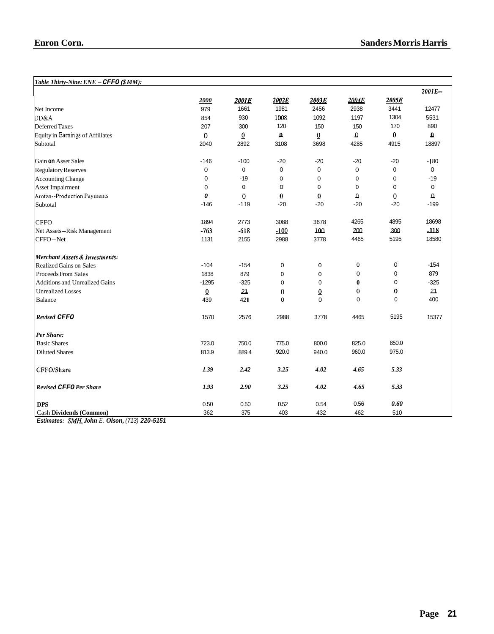#### <span id="page-20-0"></span> $\frac{2004E}{2938}$  $\frac{2000}{979}$ *Table Thirty-Nine: ENE* - *CFFO* (\$ *MM): 2001E-*2002E  $2003E$ *2004E 2000*   $2001E$ 2938 1981 3441 Net Income 979 1661 2456 12477 5531 DD&A 1197 1304 854 930 1008 1092 Deferred Taxes 170 890 207 300 120 150 150 Equity in Eamings of Affiliates 0  $\overline{0}$ - **0**   $\overline{0}$  $\Omega$  $\overline{0}$ - **0**  Subtotal 2040 2892 3108 3698 4285 4915 18897 Gain **on** Asset Sales -146 -100 -20 -20 -20  $-20$ -1 80 Regulatory Reserves 0 0 0 0 0 0 0 0 -19 0 0  $\overline{0}$  $\Omega$ -19 Accounting Change 0 0 0 0 Asset Impairment 0 0 0 Amtzn--Production Payments 0  $\Omega$ 0  $\Omega$ - *0*  0  $\overline{0}$ **[-](#page-17-0)199<br>18698<br>-118<br>18580** -146 [-1 19](#page-18-0) -20 -20 -20 -199 **Subtotal** -20 -20<br>3678<br>100<br>3778 **CFFO** 1894 2773 3088 4265 4895 18698 3678 Net Assets-Risk Management -763 -618 -100 - 200 - 300 CFFO-Net 1131 2155 2988 3778 4465 18580 5195 *Merchant Assefs* & *Invesimenfs:*  -154 0  $\Omega$ 0  $\Omega$ -154 Realized Gains on Sales -104 Proceeds From Sales 1838 879 0 879 0 0 0  $-325$ <br> $21$  $-325$ <br> $-21$ Additions and Unrealized Gains 0 -1295 0 0 **0**  Unrealized Losses  $\overline{0}$ 0 0 0 **Q**  400 Balance 439 42 **[1](#page-0-0)**  0 0 0 0 *Revised CFFO*  1570 2576 2988 3778 4465 5195 15377 *Per Share:*  Basic Shares 750.0 825.0 850.0 723.0 775.0 800.0 920.0 960.0 975.0 Diluted Shares 813.9 889.4 940.0 CFFO/Share *1.39 2.42 3.25 4.02 4.65 5.33 Revised CFFO Per Share 1.93 2.90 3.25 4.02 4.65 5.33*  0.50 0.50 0.52 0.54 0.56 *0.60*  **DPS**  Cash **Dividends (Common)** 362 375 403 432 462 510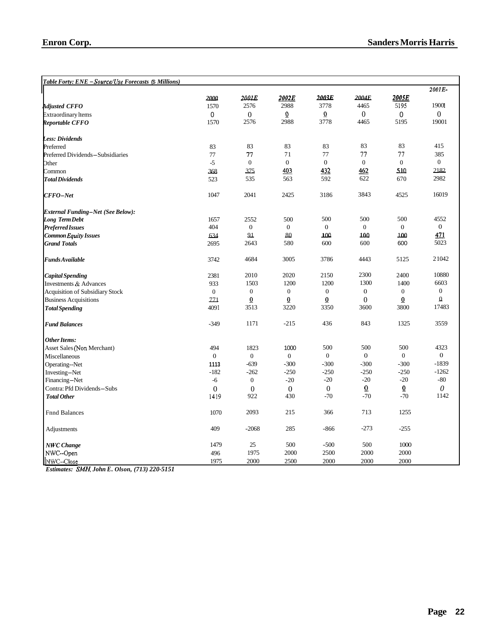| Table Forty: ENE – Source/Use Forecasts (\$ Millions) |                |                  |                  |                  |                |                  |                |
|-------------------------------------------------------|----------------|------------------|------------------|------------------|----------------|------------------|----------------|
|                                                       |                |                  |                  |                  |                |                  | 2001E-         |
|                                                       | 2000           | 2001E            | 2002E            | 2003E            | 2004E          | 2005E            |                |
| <b>Adjusted CFFO</b>                                  | 1570           | 2576             | 2988             | 3778             | 4465           | 5195             | 19001          |
| <b>Extraordinary</b> Items                            | $\Omega$       | $\boldsymbol{0}$ | $\overline{0}$   | $\overline{0}$   | $\overline{0}$ | 0                | $\theta$       |
| Reportable CFFO                                       | 1570           | 2576             | 2988             | 3778             | 4465           | 5195             | 19001          |
| <b>Less: Dividends</b>                                |                |                  |                  |                  |                |                  |                |
| Preferred                                             | 83             | 83               | 83               | 83               | 83             | 83               | 415            |
| Preferred Dividends-Subsidiaries                      | 77             | 77               | 71               | 77               | 77             | 77               | 385            |
| Other                                                 | $-5$           | $\boldsymbol{0}$ | $\boldsymbol{0}$ | $\boldsymbol{0}$ | $\mathbf{0}$   | $\boldsymbol{0}$ | $\overline{0}$ |
| Common                                                | 368            | 375              | 403              | 432              | 462            | 510              | 2182           |
| <b>Total Dividends</b>                                | 523            | 535              | 563              | 592              | 622            | 670              | 2982           |
| $CFFO-Net$                                            | 1047           | 2041             | 2425             | 3186             | 3843           | 4525             | 16019          |
| <b>External Funding-Net (See Below):</b>              |                |                  |                  |                  |                |                  |                |
| <b>Long Term Debt</b>                                 | 1657           | 2552             | 500              | 500              | 500            | 500              | 4552           |
| <b>Preferred Issues</b>                               | 404            | $\boldsymbol{0}$ | $\mathbf{0}$     | $\mathbf{0}$     | $\mathbf{0}$   | $\mathbf{0}$     | $\overline{0}$ |
| Common Equity Issues                                  | 634            | 91               | 80               | 100              | 100            | 100              | 471            |
| <b>Grand Totals</b>                                   | 2695           | 2643             | 580              | 600              | 600            | 600              | 5023           |
| Funds Available                                       | 3742           | 4684             | 3005             | 3786             | 4443           | 5125             | 21042          |
| <b>Capital Spending</b>                               | 2381           | 2010             | 2020             | 2150             | 2300           | 2400             | 10880          |
| Investments & Advances                                | 933            | 1503             | 1200             | 1200             | 1300           | 1400             | 6603           |
| <b>Acquisition of Subsidiary Stock</b>                | $\mathbf{0}$   | $\boldsymbol{0}$ | $\boldsymbol{0}$ | $\boldsymbol{0}$ | $\mathbf{0}$   | $\mathbf{0}$     | $\overline{0}$ |
| <b>Business Acquisitions</b>                          | 221            | $\underline{0}$  | $\overline{0}$   | $\underline{0}$  | $\overline{0}$ | $\overline{0}$   | $\Omega$       |
| <b>Total Spending</b>                                 | 4091           | 3513             | 3220             | 3350             | 3600           | 3800             | 17483          |
| <b>Fund Balances</b>                                  | $-349$         | 1171             | $-215$           | 436              | 843            | 1325             | 3559           |
| <b>Other Items:</b>                                   |                |                  |                  |                  |                |                  |                |
| Asset Sales (Non Merchant)                            | 494            | 1823             | 1000             | 500              | 500            | 500              | 4323           |
| Miscellaneous                                         | $\overline{0}$ | $\mathbf{0}$     | $\mathbf{0}$     | $\mathbf{0}$     | $\mathbf{0}$   | $\mathbf{0}$     | $\theta$       |
| Operating--Net                                        | 1113           | $-639$           | $-300$           | $-300$           | $-300$         | $-300$           | $-1839$        |
| Investing-Net                                         | $-182$         | $-262$           | $-250$           | $-250$           | $-250$         | $-250$           | $-1262$        |
| Financing-Net                                         | $-6$           | $\mathbf{0}$     | $-20$            | $-20$            | $-20$          | $-20$            | $-80$          |
| Contra: Pfd Dividends-Subs                            | $\Omega$       | $\theta$         | $\Omega$         | $\overline{0}$   | $\overline{0}$ | $\overline{0}$   | $\theta$       |
| <b>Total Other</b>                                    | 1419           | 922              | 430              | $-70$            | $-70$          | $-70$            | 1142           |
| <b>Fnnd Balances</b>                                  | 1070           | 2093             | 215              | 366              | 713            | 1255             |                |
| Adjustments                                           | 409            | $-2068$          | 285              | $-866$           | $-273$         | $-255$           |                |
| <b>NWC</b> Change                                     | 1479           | 25               | 500              | $-500$           | 500            | 1000             |                |
| NWC--Open                                             | 496            | 1975             | 2000             | 2500             | 2000           | 2000             |                |
| NWC--Close                                            | 1975           | 2000             | 2500             | 2000             | 2000           | 2000             |                |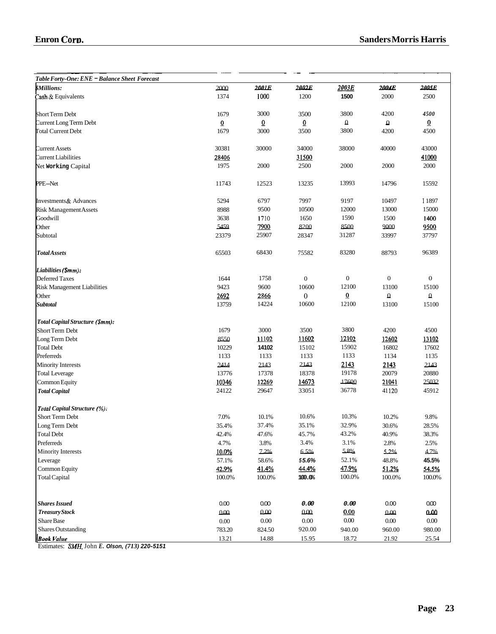| еш он согр                                    |                |                |                |                  | 94114C1517101115 1141115 |                |
|-----------------------------------------------|----------------|----------------|----------------|------------------|--------------------------|----------------|
|                                               |                |                |                |                  |                          |                |
|                                               |                |                |                |                  |                          |                |
| Table Forty-One: ENE - Balance Sheet Forecast |                |                | 2002F          |                  |                          |                |
| <b><i><u>SMillions:</u></i></b>               | 2000           | 2001E          |                | 2003E<br>1500    | <b>2004E</b>             | <b>2005E</b>   |
| Cash & Equivalents                            | 1374           | 1000           | 1200           |                  | 2000                     | 2500           |
| <b>Short Term Debt</b>                        | 1679           | 3000           | 3500           | 3800             | 4200                     | 4500           |
| Current Long Term Debt                        | $\overline{0}$ | $\overline{0}$ | $\overline{0}$ | $\pmb{\Omega}$   | ۵                        | $\overline{0}$ |
| <b>Total Current Debt</b>                     | 1679           | 3000           | 3500           | 3800             | 4200                     | 4500           |
|                                               |                |                |                |                  |                          |                |
| <b>Current Assets</b>                         | 30381          | 30000          | 34000          | 38000            | 40000                    | 43000          |
| Current Liabilities                           | 28406          |                | 31500          |                  |                          | 41000          |
| Net Working Capital                           | 1975           | 2000           | 2500           | 2000             | 2000                     | 2000           |
|                                               |                |                |                |                  |                          |                |
| PPE-Net                                       | 11743          | 12523          | 13235          | 13993            | 14796                    | 15592          |
| Investments& Advances                         | 5294           | 6797           | 7997           | 9197             | 10497                    | 11897          |
| <b>Risk Management Assets</b>                 | 8988           | 9500           | 10500          | 12000            | 13000                    | 15000          |
| Goodwill                                      | 3638           | 1710           | 1650           | 1590             | 1500                     | 1400           |
| Other                                         | 5459           | 7900           | 8200           | 8500             | 9000                     | 9500           |
| Subtotal                                      | 23379          | 25907          | 28347          | 31287            | 33997                    | 37797          |
|                                               |                |                |                |                  |                          |                |
| <b>TotalAssets</b>                            | 65503          | 68430          | 75582          | 83280            | 88793                    | 96389          |
| Liabilities (Smm):                            |                |                |                |                  |                          |                |
| Deferred Taxes                                | 1644           | 1758           | $\mathbf{0}$   | $\boldsymbol{0}$ | $\mathbf{0}$             | $\mathbf{0}$   |
| Risk Management Liabilities                   | 9423           | 9600           | 10600          | 12100            | 13100                    | 15100          |
| Other                                         | 2692           | 2866           | $\theta$       | $\overline{0}$   | $\Omega$                 | $\pmb{\Omega}$ |
| <b>Subtotal</b>                               | 13759          | 14224          | 10600          | 12100            | 13100                    | 15100          |
|                                               |                |                |                |                  |                          |                |
| Total Capital Structure (\$mm):               |                |                |                |                  |                          |                |
| Short Term Debt                               | 1679           | 3000           | 3500           | 3800             | 4200                     | 4500           |
| Long Term Debt                                | 8550           | 11102          | 11602          | 12102            | 12602                    | 13102          |
| <b>Total Debt</b>                             | 10229          | 14102          | 15102          | 15902            | 16802                    | 17602          |
| Preferreds                                    | 1133           | 1133           | 1133           | 1133             | 1134                     | 1135           |
| <b>Minority Interests</b>                     | 2414           | 2143           | 2143           | 2143             | 2143                     | 2143           |
| <b>Total Leverage</b>                         | 13776          | 17378          | 18378          | 19178            | 20079                    | 20880          |
| Common Equity                                 | 10346          | 12269          | 14673          | 17600            | 21041                    | 25032          |
| <b>Total Capital</b>                          | 24122          | 29647          | 33051          | 36778            | 41120                    | 45912          |
| Total Capital Structure (%):                  |                |                |                |                  |                          |                |
| Short Term Debt                               | 7.0%           | 10.1%          | 10.6%          | 10.3%            | 10.2%                    | 9.8%           |
| Long Term Debt                                | 35.4%          | 37.4%          | 35.1%          | 32.9%            | 30.6%                    | 28.5%          |
| <b>Total Debt</b>                             | 42.4%          | 47.6%          | 45.7%          | 43.2%            | 40.9%                    | 38.3%          |
| Preferreds                                    | 4.7%           | 3.8%           | 3.4%           | 3.1%             | 2.8%                     | 2.5%           |
| <b>Minority Interests</b>                     | 10.0%          | 7.2%           | 6.5%           | 5.8%             | 5.2%                     | 4.7%           |
| Leverage                                      | 57.1%          | 58.6%          | 55.6%          | 52.1%            | 48.8%                    | 45.5%          |
| Common Equity                                 | 42.9%          | 41.4%          | 44.4%          | 47.9%            | 51.2%                    | 54.5%          |
| <b>Total Capital</b>                          | 100.0%         | 100.0%         | 100.0%         | $100.0\%$        | 100.0%                   | $100.0\%$      |
|                                               |                |                |                |                  |                          |                |
| <b>Shares Issued</b>                          | 0.00           | 0.00           | 0.00           | 0.00             | 0.00                     | 000            |
| Treasury Stock                                | 000            | 0.00           | $000\,$        | 0.00             | 0.00                     | 0.00           |
| Share Base                                    | $0.00\,$       | $0.00\,$       | $0.00\,$       | $0.00\,$         | $0.00\,$                 | $0.00\,$       |
| <b>Shares Outstanding</b>                     | 783.20         | 824.50         | 920.00         | 940.00           | 960.00                   | 980.00         |
| <b>Book</b> Value                             | 13.21          | 14.88          | 15.95          | 18.72            | 21.92                    | 25.54          |